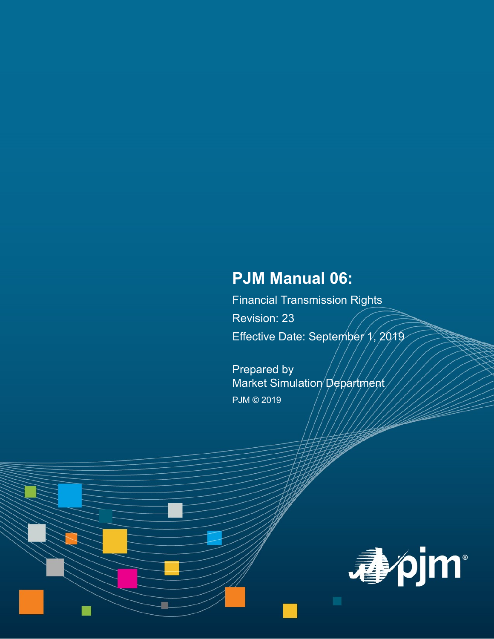# **PJM Manual 06:**

Financial Transmission Rights Revision: 23 Effective Date: September  $\gamma$ , 2019

Prepared by Market Simulation Department PJM © 2019

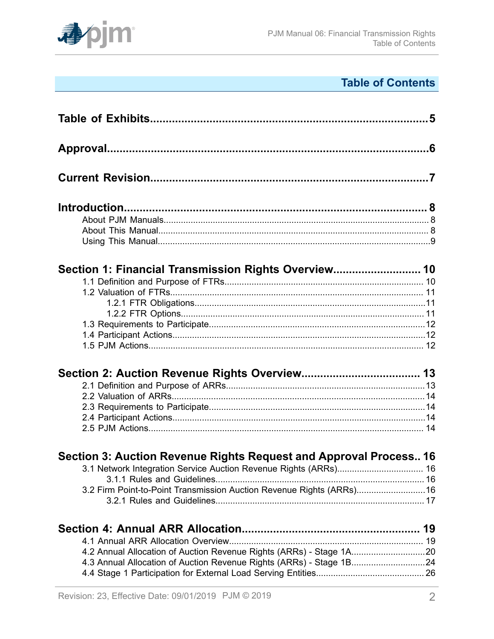

# **Table of Contents**

| Section 1: Financial Transmission Rights Overview 10                  |  |
|-----------------------------------------------------------------------|--|
|                                                                       |  |
|                                                                       |  |
|                                                                       |  |
|                                                                       |  |
|                                                                       |  |
|                                                                       |  |
|                                                                       |  |
|                                                                       |  |
|                                                                       |  |
|                                                                       |  |
|                                                                       |  |
|                                                                       |  |
|                                                                       |  |
| Section 3: Auction Revenue Rights Request and Approval Process 16     |  |
|                                                                       |  |
|                                                                       |  |
| 3.2 Firm Point-to-Point Transmission Auction Revenue Rights (ARRs) 16 |  |
|                                                                       |  |
|                                                                       |  |
|                                                                       |  |
| 4.2 Annual Allocation of Auction Revenue Rights (ARRs) - Stage 1A20   |  |
| 4.3 Annual Allocation of Auction Revenue Rights (ARRs) - Stage 1B24   |  |
|                                                                       |  |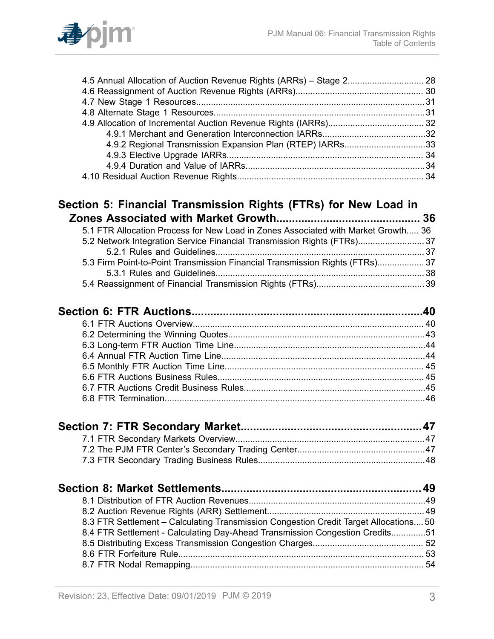

| 4.9.2 Regional Transmission Expansion Plan (RTEP) IARRs33                             |  |
|---------------------------------------------------------------------------------------|--|
|                                                                                       |  |
|                                                                                       |  |
|                                                                                       |  |
|                                                                                       |  |
| Section 5: Financial Transmission Rights (FTRs) for New Load in                       |  |
|                                                                                       |  |
| 5.1 FTR Allocation Process for New Load in Zones Associated with Market Growth 36     |  |
| 5.2 Network Integration Service Financial Transmission Rights (FTRs)37                |  |
|                                                                                       |  |
| 5.3 Firm Point-to-Point Transmission Financial Transmission Rights (FTRs) 37          |  |
|                                                                                       |  |
|                                                                                       |  |
|                                                                                       |  |
|                                                                                       |  |
|                                                                                       |  |
|                                                                                       |  |
|                                                                                       |  |
|                                                                                       |  |
|                                                                                       |  |
|                                                                                       |  |
|                                                                                       |  |
|                                                                                       |  |
|                                                                                       |  |
|                                                                                       |  |
|                                                                                       |  |
|                                                                                       |  |
|                                                                                       |  |
|                                                                                       |  |
|                                                                                       |  |
| 8.3 FTR Settlement - Calculating Transmission Congestion Credit Target Allocations 50 |  |
| 8.4 FTR Settlement - Calculating Day-Ahead Transmission Congestion Credits51          |  |
|                                                                                       |  |
|                                                                                       |  |
|                                                                                       |  |
|                                                                                       |  |
|                                                                                       |  |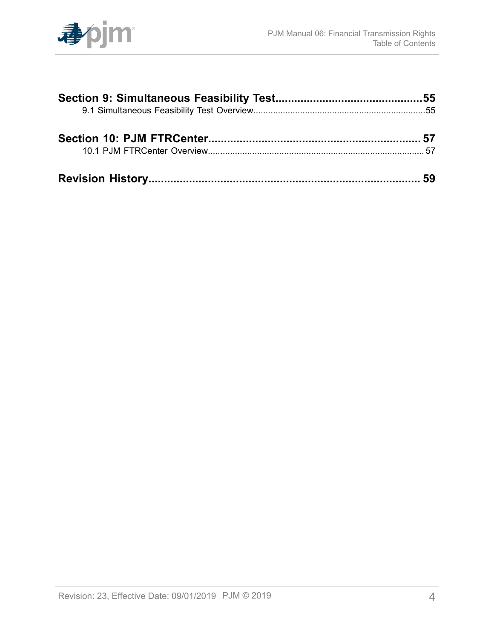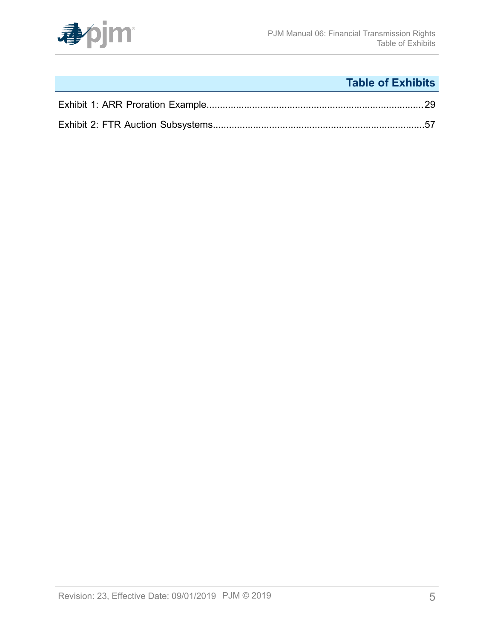

# **Table of Exhibits**

<span id="page-4-0"></span>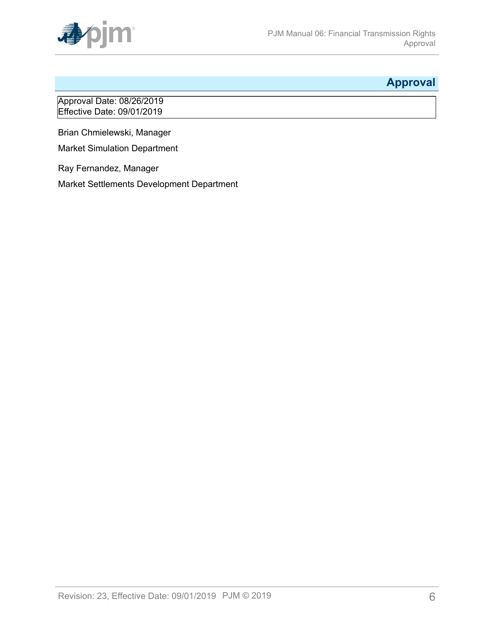

## <span id="page-5-0"></span>**Approval**

Approval Date: 08/26/2019 Effective Date: 09/01/2019

Brian Chmielewski, Manager

Market Simulation Department

Ray Fernandez, Manager

Market Settlements Development Department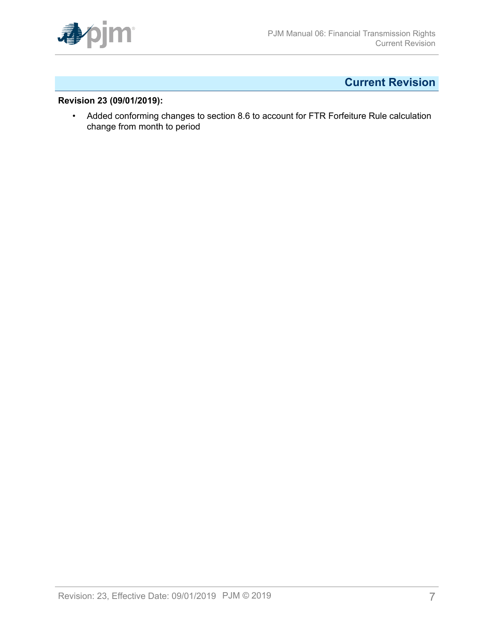

# <span id="page-6-0"></span>**Current Revision**

### **Revision 23 (09/01/2019):**

• Added conforming changes to section 8.6 to account for FTR Forfeiture Rule calculation change from month to period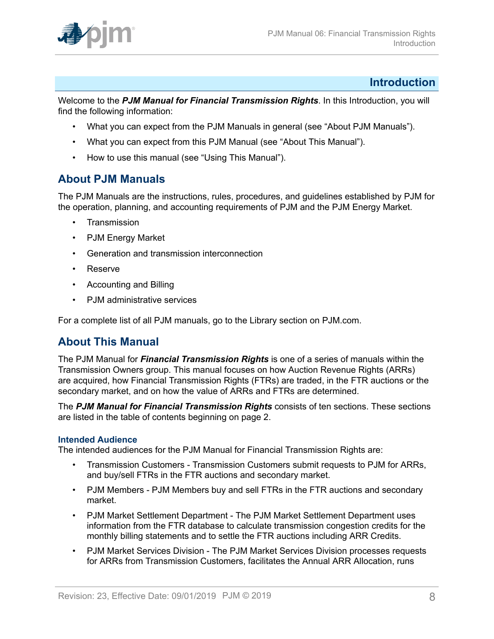

### <span id="page-7-0"></span>**Introduction**

Welcome to the *PJM Manual for Financial Transmission Rights*. In this Introduction, you will find the following information:

- What you can expect from the PJM Manuals in general (see "About PJM Manuals").
- What you can expect from this PJM Manual (see "About This Manual").
- How to use this manual (see "Using This Manual").

### <span id="page-7-1"></span>**About PJM Manuals**

The PJM Manuals are the instructions, rules, procedures, and guidelines established by PJM for the operation, planning, and accounting requirements of PJM and the PJM Energy Market.

- **Transmission**
- PJM Energy Market
- Generation and transmission interconnection
- Reserve
- Accounting and Billing
- PJM administrative services

For a complete list of all PJM manuals, go to the Library section on PJM.com.

### <span id="page-7-2"></span>**About This Manual**

The PJM Manual for *Financial Transmission Rights* is one of a series of manuals within the Transmission Owners group. This manual focuses on how Auction Revenue Rights (ARRs) are acquired, how Financial Transmission Rights (FTRs) are traded, in the FTR auctions or the secondary market, and on how the value of ARRs and FTRs are determined.

The *PJM Manual for Financial Transmission Rights* consists of ten sections. These sections are listed in the table of contents beginning on page 2.

#### **Intended Audience**

The intended audiences for the PJM Manual for Financial Transmission Rights are:

- Transmission Customers Transmission Customers submit requests to PJM for ARRs, and buy/sell FTRs in the FTR auctions and secondary market.
- PJM Members PJM Members buy and sell FTRs in the FTR auctions and secondary market.
- PJM Market Settlement Department The PJM Market Settlement Department uses information from the FTR database to calculate transmission congestion credits for the monthly billing statements and to settle the FTR auctions including ARR Credits.
- PJM Market Services Division The PJM Market Services Division processes requests for ARRs from Transmission Customers, facilitates the Annual ARR Allocation, runs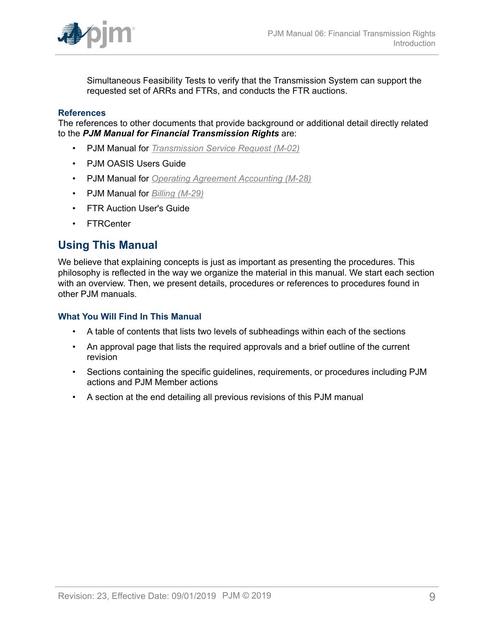

Simultaneous Feasibility Tests to verify that the Transmission System can support the requested set of ARRs and FTRs, and conducts the FTR auctions.

#### **References**

The references to other documents that provide background or additional detail directly related to the *PJM Manual for Financial Transmission Rights* are:

- PJM Manual for *[Transmission](http://www.pjm.com/~/media/documents/manuals/m02.ashx) Service Request (M-02)*
- PJM OASIS Users Guide
- PJM Manual for *[Operating Agreement Accounting \(M-28\)](http://www.pjm.com/~/media/documents/manuals/m28.ashx)*
- PJM Manual for *[Billing \(M-29\)](http://www.pjm.com/~/media/documents/manuals/m29.ashx)*
- FTR Auction User's Guide
- FTRCenter

### <span id="page-8-0"></span>**Using This Manual**

We believe that explaining concepts is just as important as presenting the procedures. This philosophy is reflected in the way we organize the material in this manual. We start each section with an overview. Then, we present details, procedures or references to procedures found in other PJM manuals.

#### **What You Will Find In This Manual**

- A table of contents that lists two levels of subheadings within each of the sections
- An approval page that lists the required approvals and a brief outline of the current revision
- Sections containing the specific guidelines, requirements, or procedures including PJM actions and PJM Member actions
- A section at the end detailing all previous revisions of this PJM manual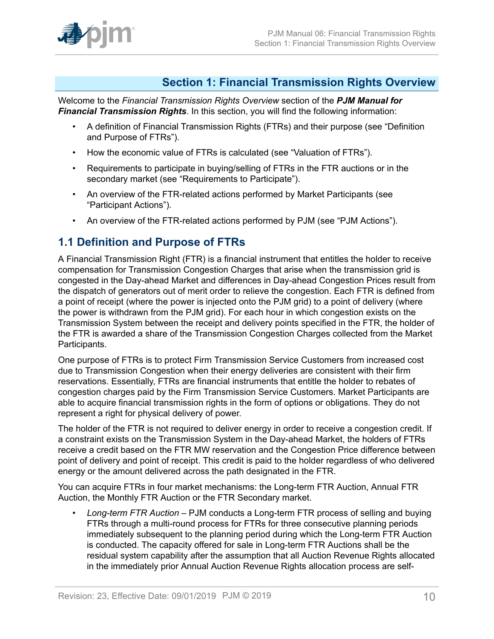

### <span id="page-9-0"></span>**Section 1: Financial Transmission Rights Overview**

Welcome to the *Financial Transmission Rights Overview* section of the *PJM Manual for Financial Transmission Rights*. In this section, you will find the following information:

- A definition of Financial Transmission Rights (FTRs) and their purpose (see "Definition and Purpose of FTRs").
- How the economic value of FTRs is calculated (see "Valuation of FTRs").
- Requirements to participate in buying/selling of FTRs in the FTR auctions or in the secondary market (see "Requirements to Participate").
- An overview of the FTR-related actions performed by Market Participants (see "Participant Actions").
- An overview of the FTR-related actions performed by PJM (see "PJM Actions").

### <span id="page-9-1"></span>**1.1 Definition and Purpose of FTRs**

A Financial Transmission Right (FTR) is a financial instrument that entitles the holder to receive compensation for Transmission Congestion Charges that arise when the transmission grid is congested in the Day-ahead Market and differences in Day-ahead Congestion Prices result from the dispatch of generators out of merit order to relieve the congestion. Each FTR is defined from a point of receipt (where the power is injected onto the PJM grid) to a point of delivery (where the power is withdrawn from the PJM grid). For each hour in which congestion exists on the Transmission System between the receipt and delivery points specified in the FTR, the holder of the FTR is awarded a share of the Transmission Congestion Charges collected from the Market Participants.

One purpose of FTRs is to protect Firm Transmission Service Customers from increased cost due to Transmission Congestion when their energy deliveries are consistent with their firm reservations. Essentially, FTRs are financial instruments that entitle the holder to rebates of congestion charges paid by the Firm Transmission Service Customers. Market Participants are able to acquire financial transmission rights in the form of options or obligations. They do not represent a right for physical delivery of power.

The holder of the FTR is not required to deliver energy in order to receive a congestion credit. If a constraint exists on the Transmission System in the Day-ahead Market, the holders of FTRs receive a credit based on the FTR MW reservation and the Congestion Price difference between point of delivery and point of receipt. This credit is paid to the holder regardless of who delivered energy or the amount delivered across the path designated in the FTR.

You can acquire FTRs in four market mechanisms: the Long-term FTR Auction, Annual FTR Auction, the Monthly FTR Auction or the FTR Secondary market.

• *Long-term FTR Auction* – PJM conducts a Long-term FTR process of selling and buying FTRs through a multi-round process for FTRs for three consecutive planning periods immediately subsequent to the planning period during which the Long-term FTR Auction is conducted. The capacity offered for sale in Long-term FTR Auctions shall be the residual system capability after the assumption that all Auction Revenue Rights allocated in the immediately prior Annual Auction Revenue Rights allocation process are self-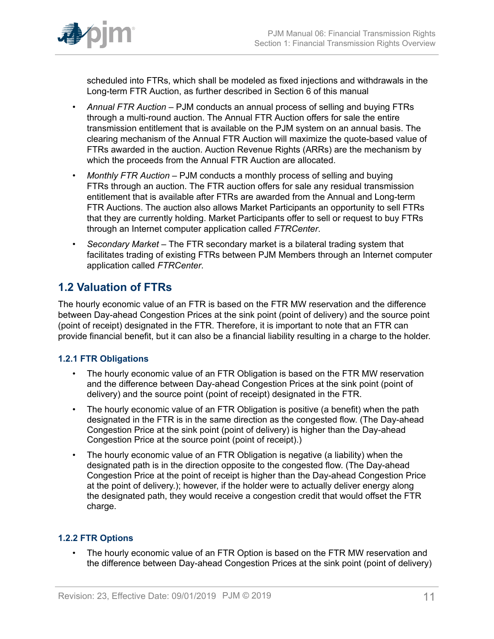

scheduled into FTRs, which shall be modeled as fixed injections and withdrawals in the Long-term FTR Auction, as further described in Section 6 of this manual

- *Annual FTR Auction –* PJM conducts an annual process of selling and buying FTRs through a multi-round auction. The Annual FTR Auction offers for sale the entire transmission entitlement that is available on the PJM system on an annual basis. The clearing mechanism of the Annual FTR Auction will maximize the quote-based value of FTRs awarded in the auction. Auction Revenue Rights (ARRs) are the mechanism by which the proceeds from the Annual FTR Auction are allocated.
- *Monthly FTR Auction –* PJM conducts a monthly process of selling and buying FTRs through an auction. The FTR auction offers for sale any residual transmission entitlement that is available after FTRs are awarded from the Annual and Long-term FTR Auctions. The auction also allows Market Participants an opportunity to sell FTRs that they are currently holding. Market Participants offer to sell or request to buy FTRs through an Internet computer application called *FTRCenter*.
- *Secondary Market –* The FTR secondary market is a bilateral trading system that facilitates trading of existing FTRs between PJM Members through an Internet computer application called *FTRCenter*.

## <span id="page-10-0"></span>**1.2 Valuation of FTRs**

The hourly economic value of an FTR is based on the FTR MW reservation and the difference between Day-ahead Congestion Prices at the sink point (point of delivery) and the source point (point of receipt) designated in the FTR. Therefore, it is important to note that an FTR can provide financial benefit, but it can also be a financial liability resulting in a charge to the holder.

### <span id="page-10-1"></span>**1.2.1 FTR Obligations**

- The hourly economic value of an FTR Obligation is based on the FTR MW reservation and the difference between Day-ahead Congestion Prices at the sink point (point of delivery) and the source point (point of receipt) designated in the FTR.
- The hourly economic value of an FTR Obligation is positive (a benefit) when the path designated in the FTR is in the same direction as the congested flow. (The Day-ahead Congestion Price at the sink point (point of delivery) is higher than the Day-ahead Congestion Price at the source point (point of receipt).)
- The hourly economic value of an FTR Obligation is negative (a liability) when the designated path is in the direction opposite to the congested flow. (The Day-ahead Congestion Price at the point of receipt is higher than the Day-ahead Congestion Price at the point of delivery.); however, if the holder were to actually deliver energy along the designated path, they would receive a congestion credit that would offset the FTR charge.

### <span id="page-10-2"></span>**1.2.2 FTR Options**

The hourly economic value of an FTR Option is based on the FTR MW reservation and the difference between Day-ahead Congestion Prices at the sink point (point of delivery)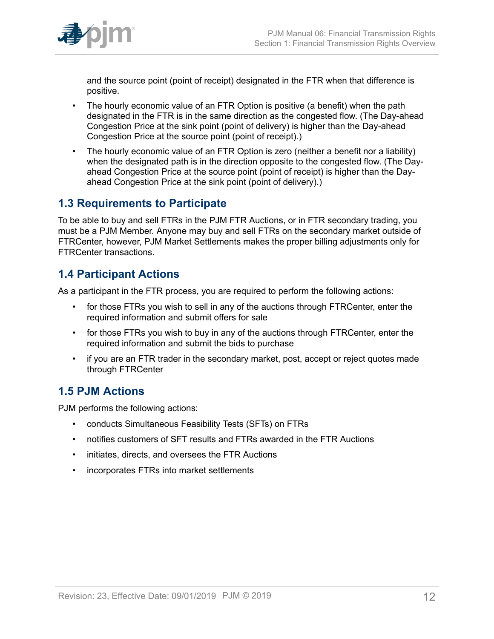

and the source point (point of receipt) designated in the FTR when that difference is positive.

- The hourly economic value of an FTR Option is positive (a benefit) when the path designated in the FTR is in the same direction as the congested flow. (The Day-ahead Congestion Price at the sink point (point of delivery) is higher than the Day-ahead Congestion Price at the source point (point of receipt).)
- The hourly economic value of an FTR Option is zero (neither a benefit nor a liability) when the designated path is in the direction opposite to the congested flow. (The Dayahead Congestion Price at the source point (point of receipt) is higher than the Dayahead Congestion Price at the sink point (point of delivery).)

## <span id="page-11-0"></span>**1.3 Requirements to Participate**

To be able to buy and sell FTRs in the PJM FTR Auctions, or in FTR secondary trading, you must be a PJM Member. Anyone may buy and sell FTRs on the secondary market outside of FTRCenter, however, PJM Market Settlements makes the proper billing adjustments only for FTRCenter transactions.

# <span id="page-11-1"></span>**1.4 Participant Actions**

As a participant in the FTR process, you are required to perform the following actions:

- for those FTRs you wish to sell in any of the auctions through FTRCenter, enter the required information and submit offers for sale
- for those FTRs you wish to buy in any of the auctions through FTRCenter, enter the required information and submit the bids to purchase
- if you are an FTR trader in the secondary market, post, accept or reject quotes made through FTRCenter

# <span id="page-11-2"></span>**1.5 PJM Actions**

PJM performs the following actions:

- conducts Simultaneous Feasibility Tests (SFTs) on FTRs
- notifies customers of SFT results and FTRs awarded in the FTR Auctions
- initiates, directs, and oversees the FTR Auctions
- incorporates FTRs into market settlements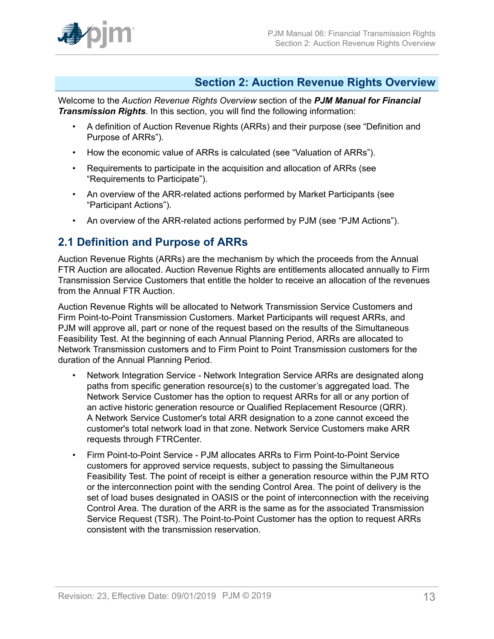

### <span id="page-12-0"></span>**Section 2: Auction Revenue Rights Overview**

Welcome to the *Auction Revenue Rights Overview* section of the *PJM Manual for Financial Transmission Rights*. In this section, you will find the following information:

- A definition of Auction Revenue Rights (ARRs) and their purpose (see "Definition and Purpose of ARRs").
- How the economic value of ARRs is calculated (see "Valuation of ARRs").
- Requirements to participate in the acquisition and allocation of ARRs (see "Requirements to Participate").
- An overview of the ARR-related actions performed by Market Participants (see "Participant Actions").
- An overview of the ARR-related actions performed by PJM (see "PJM Actions").

### <span id="page-12-1"></span>**2.1 Definition and Purpose of ARRs**

Auction Revenue Rights (ARRs) are the mechanism by which the proceeds from the Annual FTR Auction are allocated. Auction Revenue Rights are entitlements allocated annually to Firm Transmission Service Customers that entitle the holder to receive an allocation of the revenues from the Annual FTR Auction.

Auction Revenue Rights will be allocated to Network Transmission Service Customers and Firm Point-to-Point Transmission Customers. Market Participants will request ARRs, and PJM will approve all, part or none of the request based on the results of the Simultaneous Feasibility Test. At the beginning of each Annual Planning Period, ARRs are allocated to Network Transmission customers and to Firm Point to Point Transmission customers for the duration of the Annual Planning Period.

- Network Integration Service Network Integration Service ARRs are designated along paths from specific generation resource(s) to the customer's aggregated load. The Network Service Customer has the option to request ARRs for all or any portion of an active historic generation resource or Qualified Replacement Resource (QRR). A Network Service Customer's total ARR designation to a zone cannot exceed the customer's total network load in that zone. Network Service Customers make ARR requests through FTRCenter.
- Firm Point-to-Point Service PJM allocates ARRs to Firm Point-to-Point Service customers for approved service requests, subject to passing the Simultaneous Feasibility Test. The point of receipt is either a generation resource within the PJM RTO or the interconnection point with the sending Control Area. The point of delivery is the set of load buses designated in OASIS or the point of interconnection with the receiving Control Area. The duration of the ARR is the same as for the associated Transmission Service Request (TSR). The Point-to-Point Customer has the option to request ARRs consistent with the transmission reservation.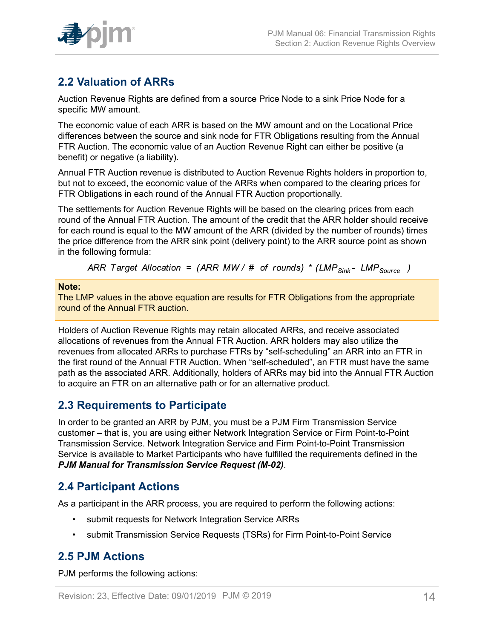

# <span id="page-13-0"></span>**2.2 Valuation of ARRs**

Auction Revenue Rights are defined from a source Price Node to a sink Price Node for a specific MW amount.

The economic value of each ARR is based on the MW amount and on the Locational Price differences between the source and sink node for FTR Obligations resulting from the Annual FTR Auction. The economic value of an Auction Revenue Right can either be positive (a benefit) or negative (a liability).

Annual FTR Auction revenue is distributed to Auction Revenue Rights holders in proportion to, but not to exceed, the economic value of the ARRs when compared to the clearing prices for FTR Obligations in each round of the Annual FTR Auction proportionally.

The settlements for Auction Revenue Rights will be based on the clearing prices from each round of the Annual FTR Auction. The amount of the credit that the ARR holder should receive for each round is equal to the MW amount of the ARR (divided by the number of rounds) times the price difference from the ARR sink point (delivery point) to the ARR source point as shown in the following formula:

ARR Target Allocation = (ARR MW/ # of rounds) \* (LMP<sub>Sink</sub> - LMP<sub>Source</sub>)

#### **Note:**

The LMP values in the above equation are results for FTR Obligations from the appropriate round of the Annual FTR auction.

Holders of Auction Revenue Rights may retain allocated ARRs, and receive associated allocations of revenues from the Annual FTR Auction. ARR holders may also utilize the revenues from allocated ARRs to purchase FTRs by "self-scheduling" an ARR into an FTR in the first round of the Annual FTR Auction. When "self-scheduled", an FTR must have the same path as the associated ARR. Additionally, holders of ARRs may bid into the Annual FTR Auction to acquire an FTR on an alternative path or for an alternative product.

### <span id="page-13-1"></span>**2.3 Requirements to Participate**

In order to be granted an ARR by PJM, you must be a PJM Firm Transmission Service customer – that is, you are using either Network Integration Service or Firm Point-to-Point Transmission Service. Network Integration Service and Firm Point-to-Point Transmission Service is available to Market Participants who have fulfilled the requirements defined in the *PJM Manual for Transmission Service Request (M-02)*.

# <span id="page-13-2"></span>**2.4 Participant Actions**

As a participant in the ARR process, you are required to perform the following actions:

- submit requests for Network Integration Service ARRs
- submit Transmission Service Requests (TSRs) for Firm Point-to-Point Service

# <span id="page-13-3"></span>**2.5 PJM Actions**

PJM performs the following actions: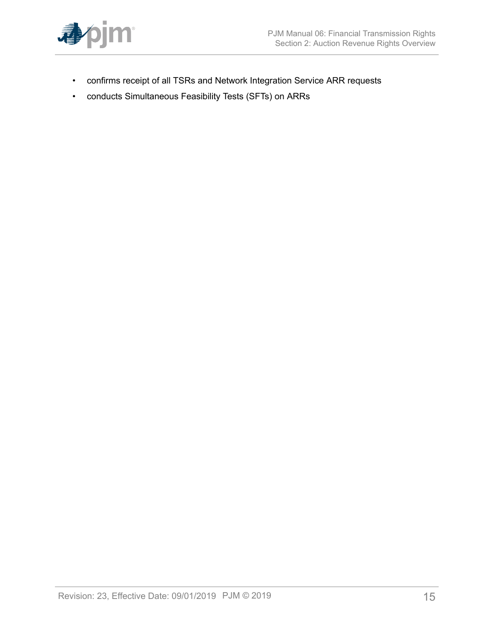

- confirms receipt of all TSRs and Network Integration Service ARR requests
- conducts Simultaneous Feasibility Tests (SFTs) on ARRs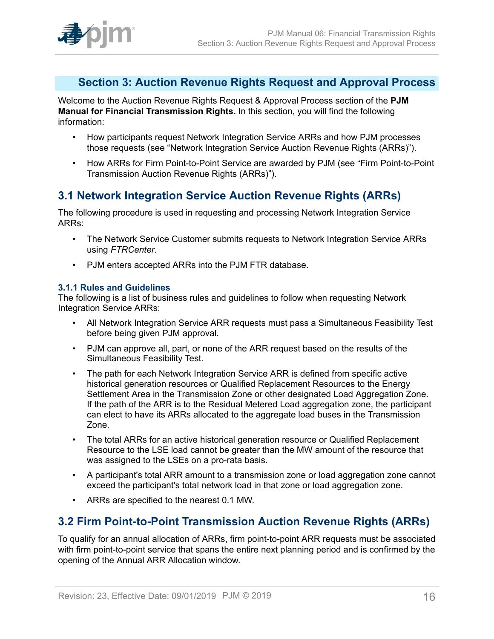

### <span id="page-15-0"></span>**Section 3: Auction Revenue Rights Request and Approval Process**

Welcome to the Auction Revenue Rights Request & Approval Process section of the **PJM Manual for Financial Transmission Rights.** In this section, you will find the following information:

- How participants request Network Integration Service ARRs and how PJM processes those requests (see "Network Integration Service Auction Revenue Rights (ARRs)").
- How ARRs for Firm Point-to-Point Service are awarded by PJM (see "Firm Point-to-Point Transmission Auction Revenue Rights (ARRs)").

## <span id="page-15-1"></span>**3.1 Network Integration Service Auction Revenue Rights (ARRs)**

The following procedure is used in requesting and processing Network Integration Service ARRs:

- The Network Service Customer submits requests to Network Integration Service ARRs using *FTRCenter*.
- PJM enters accepted ARRs into the PJM FTR database.

### <span id="page-15-2"></span>**3.1.1 Rules and Guidelines**

The following is a list of business rules and guidelines to follow when requesting Network Integration Service ARRs:

- All Network Integration Service ARR requests must pass a Simultaneous Feasibility Test before being given PJM approval.
- PJM can approve all, part, or none of the ARR request based on the results of the Simultaneous Feasibility Test.
- The path for each Network Integration Service ARR is defined from specific active historical generation resources or Qualified Replacement Resources to the Energy Settlement Area in the Transmission Zone or other designated Load Aggregation Zone. If the path of the ARR is to the Residual Metered Load aggregation zone, the participant can elect to have its ARRs allocated to the aggregate load buses in the Transmission Zone.
- The total ARRs for an active historical generation resource or Qualified Replacement Resource to the LSE load cannot be greater than the MW amount of the resource that was assigned to the LSEs on a pro-rata basis.
- A participant's total ARR amount to a transmission zone or load aggregation zone cannot exceed the participant's total network load in that zone or load aggregation zone.
- ARRs are specified to the nearest 0.1 MW.

# <span id="page-15-3"></span>**3.2 Firm Point-to-Point Transmission Auction Revenue Rights (ARRs)**

To qualify for an annual allocation of ARRs, firm point-to-point ARR requests must be associated with firm point-to-point service that spans the entire next planning period and is confirmed by the opening of the Annual ARR Allocation window.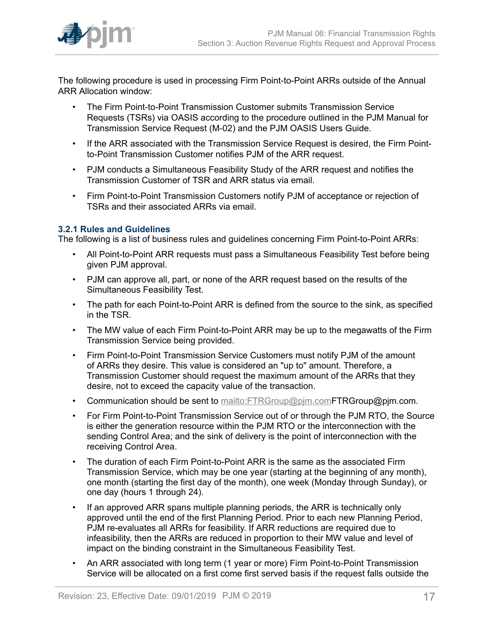

The following procedure is used in processing Firm Point-to-Point ARRs outside of the Annual ARR Allocation window:

- The Firm Point-to-Point Transmission Customer submits Transmission Service Requests (TSRs) via OASIS according to the procedure outlined in the PJM Manual for Transmission Service Request (M-02) and the PJM OASIS Users Guide.
- If the ARR associated with the Transmission Service Request is desired, the Firm Pointto-Point Transmission Customer notifies PJM of the ARR request.
- PJM conducts a Simultaneous Feasibility Study of the ARR request and notifies the Transmission Customer of TSR and ARR status via email.
- Firm Point-to-Point Transmission Customers notify PJM of acceptance or rejection of TSRs and their associated ARRs via email.

#### <span id="page-16-0"></span>**3.2.1 Rules and Guidelines**

The following is a list of business rules and guidelines concerning Firm Point-to-Point ARRs:

- All Point-to-Point ARR requests must pass a Simultaneous Feasibility Test before being given PJM approval.
- PJM can approve all, part, or none of the ARR request based on the results of the Simultaneous Feasibility Test.
- The path for each Point-to-Point ARR is defined from the source to the sink, as specified in the TSR.
- The MW value of each Firm Point-to-Point ARR may be up to the megawatts of the Firm Transmission Service being provided.
- Firm Point-to-Point Transmission Service Customers must notify PJM of the amount of ARRs they desire. This value is considered an "up to" amount. Therefore, a Transmission Customer should request the maximum amount of the ARRs that they desire, not to exceed the capacity value of the transaction.
- Communication should be sent to mailto: FTRGroup@pjm.com FTRGroup@pjm.com.
- For Firm Point-to-Point Transmission Service out of or through the PJM RTO, the Source is either the generation resource within the PJM RTO or the interconnection with the sending Control Area; and the sink of delivery is the point of interconnection with the receiving Control Area.
- The duration of each Firm Point-to-Point ARR is the same as the associated Firm Transmission Service, which may be one year (starting at the beginning of any month), one month (starting the first day of the month), one week (Monday through Sunday), or one day (hours 1 through 24).
- If an approved ARR spans multiple planning periods, the ARR is technically only approved until the end of the first Planning Period. Prior to each new Planning Period, PJM re-evaluates all ARRs for feasibility. If ARR reductions are required due to infeasibility, then the ARRs are reduced in proportion to their MW value and level of impact on the binding constraint in the Simultaneous Feasibility Test.
- An ARR associated with long term (1 year or more) Firm Point-to-Point Transmission Service will be allocated on a first come first served basis if the request falls outside the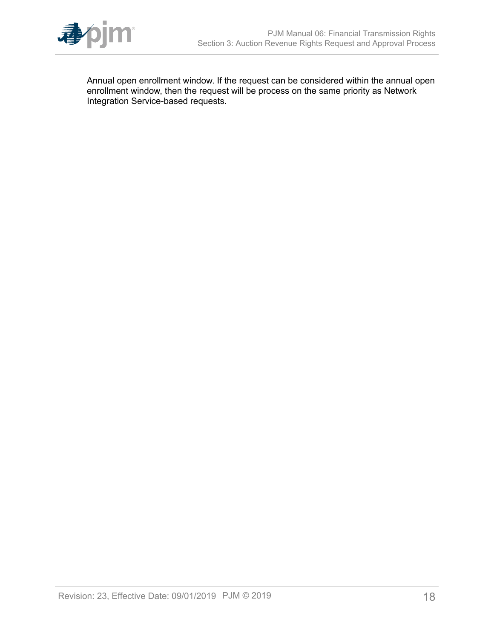

Annual open enrollment window. If the request can be considered within the annual open enrollment window, then the request will be process on the same priority as Network Integration Service-based requests.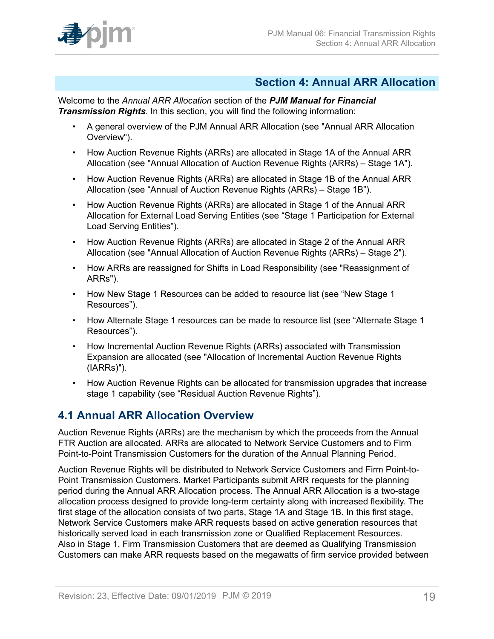

### <span id="page-18-0"></span>**Section 4: Annual ARR Allocation**

Welcome to the *Annual ARR Allocation* section of the *PJM Manual for Financial Transmission Rights*. In this section, you will find the following information:

- A general overview of the PJM Annual ARR Allocation (see "Annual ARR Allocation Overview").
- How Auction Revenue Rights (ARRs) are allocated in Stage 1A of the Annual ARR Allocation (see "Annual Allocation of Auction Revenue Rights (ARRs) – Stage 1A").
- How Auction Revenue Rights (ARRs) are allocated in Stage 1B of the Annual ARR Allocation (see "Annual of Auction Revenue Rights (ARRs) – Stage 1B").
- How Auction Revenue Rights (ARRs) are allocated in Stage 1 of the Annual ARR Allocation for External Load Serving Entities (see "Stage 1 Participation for External Load Serving Entities").
- How Auction Revenue Rights (ARRs) are allocated in Stage 2 of the Annual ARR Allocation (see "Annual Allocation of Auction Revenue Rights (ARRs) – Stage 2").
- How ARRs are reassigned for Shifts in Load Responsibility (see "Reassignment of ARRs").
- How New Stage 1 Resources can be added to resource list (see "New Stage 1 Resources").
- How Alternate Stage 1 resources can be made to resource list (see "Alternate Stage 1 Resources").
- How Incremental Auction Revenue Rights (ARRs) associated with Transmission Expansion are allocated (see "Allocation of Incremental Auction Revenue Rights (IARRs)").
- How Auction Revenue Rights can be allocated for transmission upgrades that increase stage 1 capability (see "Residual Auction Revenue Rights").

# <span id="page-18-1"></span>**4.1 Annual ARR Allocation Overview**

Auction Revenue Rights (ARRs) are the mechanism by which the proceeds from the Annual FTR Auction are allocated. ARRs are allocated to Network Service Customers and to Firm Point-to-Point Transmission Customers for the duration of the Annual Planning Period.

Auction Revenue Rights will be distributed to Network Service Customers and Firm Point-to-Point Transmission Customers. Market Participants submit ARR requests for the planning period during the Annual ARR Allocation process. The Annual ARR Allocation is a two-stage allocation process designed to provide long-term certainty along with increased flexibility. The first stage of the allocation consists of two parts, Stage 1A and Stage 1B. In this first stage, Network Service Customers make ARR requests based on active generation resources that historically served load in each transmission zone or Qualified Replacement Resources. Also in Stage 1, Firm Transmission Customers that are deemed as Qualifying Transmission Customers can make ARR requests based on the megawatts of firm service provided between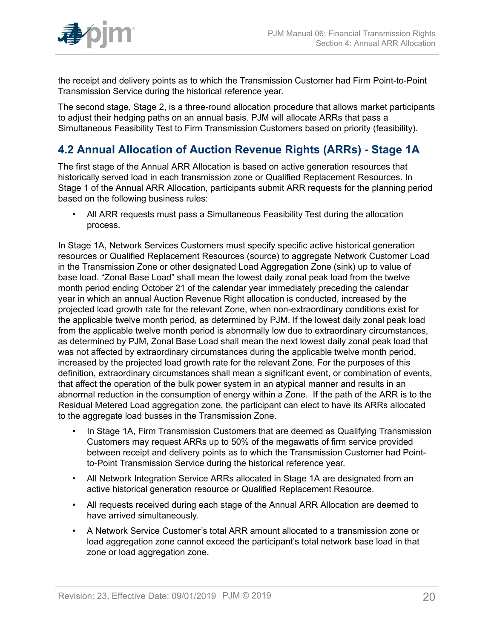

the receipt and delivery points as to which the Transmission Customer had Firm Point-to-Point Transmission Service during the historical reference year.

The second stage, Stage 2, is a three-round allocation procedure that allows market participants to adjust their hedging paths on an annual basis. PJM will allocate ARRs that pass a Simultaneous Feasibility Test to Firm Transmission Customers based on priority (feasibility).

# <span id="page-19-0"></span>**4.2 Annual Allocation of Auction Revenue Rights (ARRs) - Stage 1A**

The first stage of the Annual ARR Allocation is based on active generation resources that historically served load in each transmission zone or Qualified Replacement Resources. In Stage 1 of the Annual ARR Allocation, participants submit ARR requests for the planning period based on the following business rules:

• All ARR requests must pass a Simultaneous Feasibility Test during the allocation process.

In Stage 1A, Network Services Customers must specify specific active historical generation resources or Qualified Replacement Resources (source) to aggregate Network Customer Load in the Transmission Zone or other designated Load Aggregation Zone (sink) up to value of base load. "Zonal Base Load" shall mean the lowest daily zonal peak load from the twelve month period ending October 21 of the calendar year immediately preceding the calendar year in which an annual Auction Revenue Right allocation is conducted, increased by the projected load growth rate for the relevant Zone, when non-extraordinary conditions exist for the applicable twelve month period, as determined by PJM. If the lowest daily zonal peak load from the applicable twelve month period is abnormally low due to extraordinary circumstances, as determined by PJM, Zonal Base Load shall mean the next lowest daily zonal peak load that was not affected by extraordinary circumstances during the applicable twelve month period, increased by the projected load growth rate for the relevant Zone. For the purposes of this definition, extraordinary circumstances shall mean a significant event, or combination of events, that affect the operation of the bulk power system in an atypical manner and results in an abnormal reduction in the consumption of energy within a Zone. If the path of the ARR is to the Residual Metered Load aggregation zone, the participant can elect to have its ARRs allocated to the aggregate load busses in the Transmission Zone.

- In Stage 1A, Firm Transmission Customers that are deemed as Qualifying Transmission Customers may request ARRs up to 50% of the megawatts of firm service provided between receipt and delivery points as to which the Transmission Customer had Pointto-Point Transmission Service during the historical reference year.
- All Network Integration Service ARRs allocated in Stage 1A are designated from an active historical generation resource or Qualified Replacement Resource.
- All requests received during each stage of the Annual ARR Allocation are deemed to have arrived simultaneously.
- A Network Service Customer's total ARR amount allocated to a transmission zone or load aggregation zone cannot exceed the participant's total network base load in that zone or load aggregation zone.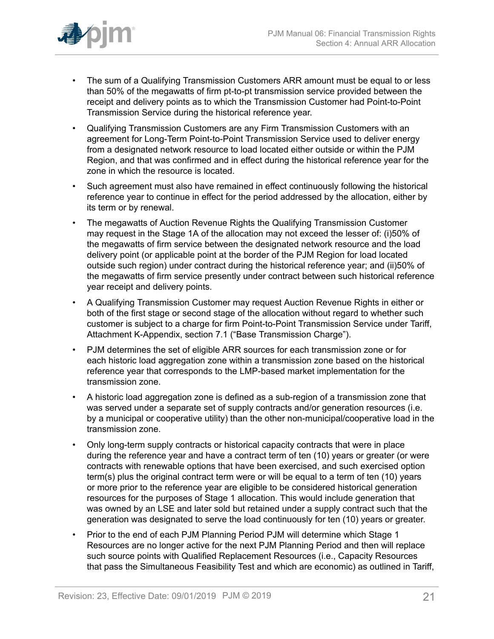

- The sum of a Qualifying Transmission Customers ARR amount must be equal to or less than 50% of the megawatts of firm pt-to-pt transmission service provided between the receipt and delivery points as to which the Transmission Customer had Point-to-Point Transmission Service during the historical reference year.
- Qualifying Transmission Customers are any Firm Transmission Customers with an agreement for Long-Term Point-to-Point Transmission Service used to deliver energy from a designated network resource to load located either outside or within the PJM Region, and that was confirmed and in effect during the historical reference year for the zone in which the resource is located.
- Such agreement must also have remained in effect continuously following the historical reference year to continue in effect for the period addressed by the allocation, either by its term or by renewal.
- The megawatts of Auction Revenue Rights the Qualifying Transmission Customer may request in the Stage 1A of the allocation may not exceed the lesser of: (i)50% of the megawatts of firm service between the designated network resource and the load delivery point (or applicable point at the border of the PJM Region for load located outside such region) under contract during the historical reference year; and (ii)50% of the megawatts of firm service presently under contract between such historical reference year receipt and delivery points.
- A Qualifying Transmission Customer may request Auction Revenue Rights in either or both of the first stage or second stage of the allocation without regard to whether such customer is subject to a charge for firm Point-to-Point Transmission Service under Tariff, Attachment K-Appendix, section 7.1 ("Base Transmission Charge").
- PJM determines the set of eligible ARR sources for each transmission zone or for each historic load aggregation zone within a transmission zone based on the historical reference year that corresponds to the LMP-based market implementation for the transmission zone.
- A historic load aggregation zone is defined as a sub-region of a transmission zone that was served under a separate set of supply contracts and/or generation resources (i.e. by a municipal or cooperative utility) than the other non-municipal/cooperative load in the transmission zone.
- Only long-term supply contracts or historical capacity contracts that were in place during the reference year and have a contract term of ten (10) years or greater (or were contracts with renewable options that have been exercised, and such exercised option term(s) plus the original contract term were or will be equal to a term of ten (10) years or more prior to the reference year are eligible to be considered historical generation resources for the purposes of Stage 1 allocation. This would include generation that was owned by an LSE and later sold but retained under a supply contract such that the generation was designated to serve the load continuously for ten (10) years or greater.
- Prior to the end of each PJM Planning Period PJM will determine which Stage 1 Resources are no longer active for the next PJM Planning Period and then will replace such source points with Qualified Replacement Resources (i.e., Capacity Resources that pass the Simultaneous Feasibility Test and which are economic) as outlined in Tariff,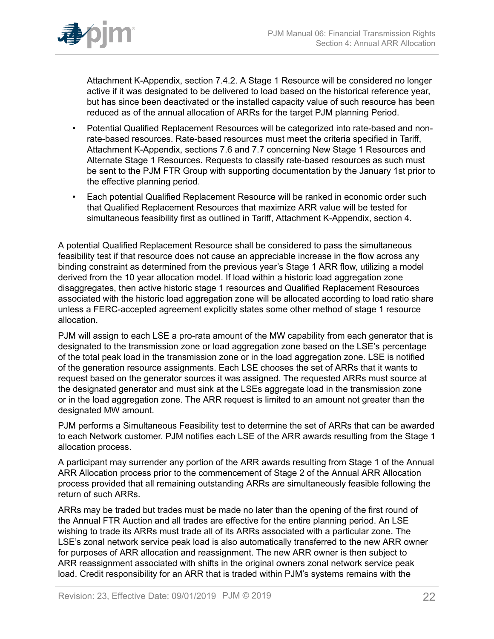

Attachment K-Appendix, section 7.4.2. A Stage 1 Resource will be considered no longer active if it was designated to be delivered to load based on the historical reference year, but has since been deactivated or the installed capacity value of such resource has been reduced as of the annual allocation of ARRs for the target PJM planning Period.

- Potential Qualified Replacement Resources will be categorized into rate-based and nonrate-based resources. Rate-based resources must meet the criteria specified in Tariff, Attachment K-Appendix, sections 7.6 and 7.7 concerning New Stage 1 Resources and Alternate Stage 1 Resources. Requests to classify rate-based resources as such must be sent to the PJM FTR Group with supporting documentation by the January 1st prior to the effective planning period.
- Each potential Qualified Replacement Resource will be ranked in economic order such that Qualified Replacement Resources that maximize ARR value will be tested for simultaneous feasibility first as outlined in Tariff, Attachment K-Appendix, section 4.

A potential Qualified Replacement Resource shall be considered to pass the simultaneous feasibility test if that resource does not cause an appreciable increase in the flow across any binding constraint as determined from the previous year's Stage 1 ARR flow, utilizing a model derived from the 10 year allocation model. If load within a historic load aggregation zone disaggregates, then active historic stage 1 resources and Qualified Replacement Resources associated with the historic load aggregation zone will be allocated according to load ratio share unless a FERC-accepted agreement explicitly states some other method of stage 1 resource allocation.

PJM will assign to each LSE a pro-rata amount of the MW capability from each generator that is designated to the transmission zone or load aggregation zone based on the LSE's percentage of the total peak load in the transmission zone or in the load aggregation zone. LSE is notified of the generation resource assignments. Each LSE chooses the set of ARRs that it wants to request based on the generator sources it was assigned. The requested ARRs must source at the designated generator and must sink at the LSEs aggregate load in the transmission zone or in the load aggregation zone. The ARR request is limited to an amount not greater than the designated MW amount.

PJM performs a Simultaneous Feasibility test to determine the set of ARRs that can be awarded to each Network customer. PJM notifies each LSE of the ARR awards resulting from the Stage 1 allocation process.

A participant may surrender any portion of the ARR awards resulting from Stage 1 of the Annual ARR Allocation process prior to the commencement of Stage 2 of the Annual ARR Allocation process provided that all remaining outstanding ARRs are simultaneously feasible following the return of such ARRs.

ARRs may be traded but trades must be made no later than the opening of the first round of the Annual FTR Auction and all trades are effective for the entire planning period. An LSE wishing to trade its ARRs must trade all of its ARRs associated with a particular zone. The LSE's zonal network service peak load is also automatically transferred to the new ARR owner for purposes of ARR allocation and reassignment. The new ARR owner is then subject to ARR reassignment associated with shifts in the original owners zonal network service peak load. Credit responsibility for an ARR that is traded within PJM's systems remains with the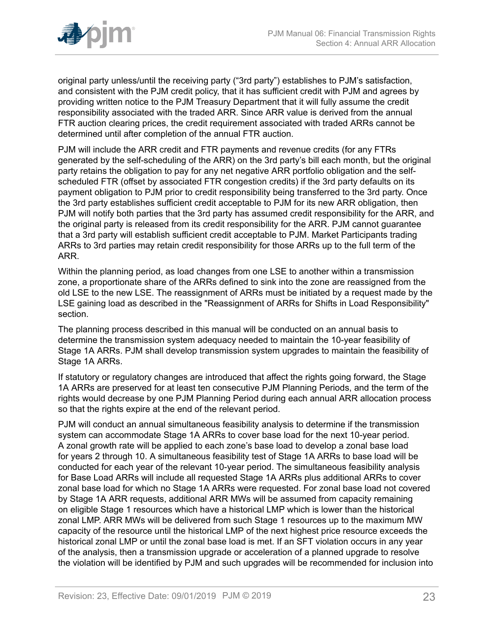

original party unless/until the receiving party ("3rd party") establishes to PJM's satisfaction, and consistent with the PJM credit policy, that it has sufficient credit with PJM and agrees by providing written notice to the PJM Treasury Department that it will fully assume the credit responsibility associated with the traded ARR. Since ARR value is derived from the annual FTR auction clearing prices, the credit requirement associated with traded ARRs cannot be determined until after completion of the annual FTR auction.

PJM will include the ARR credit and FTR payments and revenue credits (for any FTRs generated by the self-scheduling of the ARR) on the 3rd party's bill each month, but the original party retains the obligation to pay for any net negative ARR portfolio obligation and the selfscheduled FTR (offset by associated FTR congestion credits) if the 3rd party defaults on its payment obligation to PJM prior to credit responsibility being transferred to the 3rd party. Once the 3rd party establishes sufficient credit acceptable to PJM for its new ARR obligation, then PJM will notify both parties that the 3rd party has assumed credit responsibility for the ARR, and the original party is released from its credit responsibility for the ARR. PJM cannot guarantee that a 3rd party will establish sufficient credit acceptable to PJM. Market Participants trading ARRs to 3rd parties may retain credit responsibility for those ARRs up to the full term of the ARR.

Within the planning period, as load changes from one LSE to another within a transmission zone, a proportionate share of the ARRs defined to sink into the zone are reassigned from the old LSE to the new LSE. The reassignment of ARRs must be initiated by a request made by the LSE gaining load as described in the "Reassignment of ARRs for Shifts in Load Responsibility" section.

The planning process described in this manual will be conducted on an annual basis to determine the transmission system adequacy needed to maintain the 10-year feasibility of Stage 1A ARRs. PJM shall develop transmission system upgrades to maintain the feasibility of Stage 1A ARRs.

If statutory or regulatory changes are introduced that affect the rights going forward, the Stage 1A ARRs are preserved for at least ten consecutive PJM Planning Periods, and the term of the rights would decrease by one PJM Planning Period during each annual ARR allocation process so that the rights expire at the end of the relevant period.

PJM will conduct an annual simultaneous feasibility analysis to determine if the transmission system can accommodate Stage 1A ARRs to cover base load for the next 10-year period. A zonal growth rate will be applied to each zone's base load to develop a zonal base load for years 2 through 10. A simultaneous feasibility test of Stage 1A ARRs to base load will be conducted for each year of the relevant 10-year period. The simultaneous feasibility analysis for Base Load ARRs will include all requested Stage 1A ARRs plus additional ARRs to cover zonal base load for which no Stage 1A ARRs were requested. For zonal base load not covered by Stage 1A ARR requests, additional ARR MWs will be assumed from capacity remaining on eligible Stage 1 resources which have a historical LMP which is lower than the historical zonal LMP. ARR MWs will be delivered from such Stage 1 resources up to the maximum MW capacity of the resource until the historical LMP of the next highest price resource exceeds the historical zonal LMP or until the zonal base load is met. If an SFT violation occurs in any year of the analysis, then a transmission upgrade or acceleration of a planned upgrade to resolve the violation will be identified by PJM and such upgrades will be recommended for inclusion into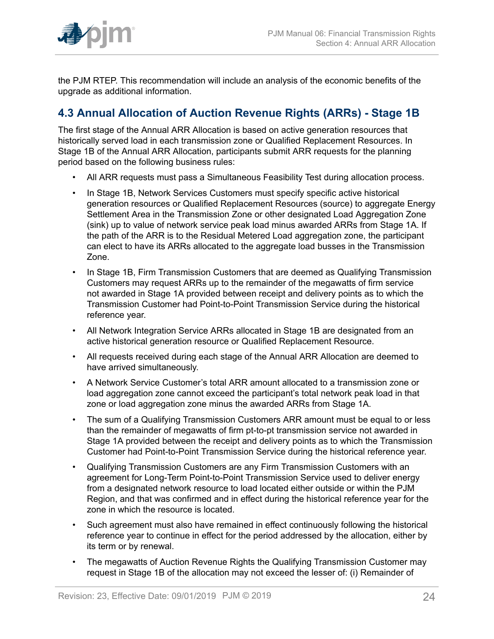

the PJM RTEP. This recommendation will include an analysis of the economic benefits of the upgrade as additional information.

# <span id="page-23-0"></span>**4.3 Annual Allocation of Auction Revenue Rights (ARRs) - Stage 1B**

The first stage of the Annual ARR Allocation is based on active generation resources that historically served load in each transmission zone or Qualified Replacement Resources. In Stage 1B of the Annual ARR Allocation, participants submit ARR requests for the planning period based on the following business rules:

- All ARR requests must pass a Simultaneous Feasibility Test during allocation process.
- In Stage 1B, Network Services Customers must specify specific active historical generation resources or Qualified Replacement Resources (source) to aggregate Energy Settlement Area in the Transmission Zone or other designated Load Aggregation Zone (sink) up to value of network service peak load minus awarded ARRs from Stage 1A. If the path of the ARR is to the Residual Metered Load aggregation zone, the participant can elect to have its ARRs allocated to the aggregate load busses in the Transmission Zone.
- In Stage 1B, Firm Transmission Customers that are deemed as Qualifying Transmission Customers may request ARRs up to the remainder of the megawatts of firm service not awarded in Stage 1A provided between receipt and delivery points as to which the Transmission Customer had Point-to-Point Transmission Service during the historical reference year.
- All Network Integration Service ARRs allocated in Stage 1B are designated from an active historical generation resource or Qualified Replacement Resource.
- All requests received during each stage of the Annual ARR Allocation are deemed to have arrived simultaneously.
- A Network Service Customer's total ARR amount allocated to a transmission zone or load aggregation zone cannot exceed the participant's total network peak load in that zone or load aggregation zone minus the awarded ARRs from Stage 1A.
- The sum of a Qualifying Transmission Customers ARR amount must be equal to or less than the remainder of megawatts of firm pt-to-pt transmission service not awarded in Stage 1A provided between the receipt and delivery points as to which the Transmission Customer had Point-to-Point Transmission Service during the historical reference year.
- Qualifying Transmission Customers are any Firm Transmission Customers with an agreement for Long-Term Point-to-Point Transmission Service used to deliver energy from a designated network resource to load located either outside or within the PJM Region, and that was confirmed and in effect during the historical reference year for the zone in which the resource is located.
- Such agreement must also have remained in effect continuously following the historical reference year to continue in effect for the period addressed by the allocation, either by its term or by renewal.
- The megawatts of Auction Revenue Rights the Qualifying Transmission Customer may request in Stage 1B of the allocation may not exceed the lesser of: (i) Remainder of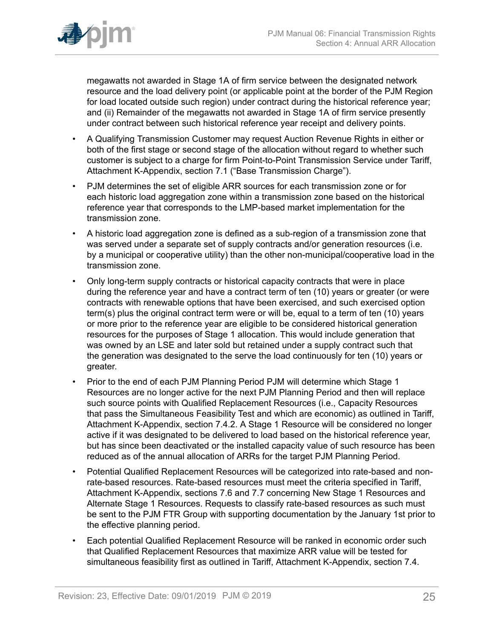

megawatts not awarded in Stage 1A of firm service between the designated network resource and the load delivery point (or applicable point at the border of the PJM Region for load located outside such region) under contract during the historical reference year; and (ii) Remainder of the megawatts not awarded in Stage 1A of firm service presently under contract between such historical reference year receipt and delivery points.

- A Qualifying Transmission Customer may request Auction Revenue Rights in either or both of the first stage or second stage of the allocation without regard to whether such customer is subject to a charge for firm Point-to-Point Transmission Service under Tariff, Attachment K-Appendix, section 7.1 ("Base Transmission Charge").
- PJM determines the set of eligible ARR sources for each transmission zone or for each historic load aggregation zone within a transmission zone based on the historical reference year that corresponds to the LMP-based market implementation for the transmission zone.
- A historic load aggregation zone is defined as a sub-region of a transmission zone that was served under a separate set of supply contracts and/or generation resources (i.e. by a municipal or cooperative utility) than the other non-municipal/cooperative load in the transmission zone.
- Only long-term supply contracts or historical capacity contracts that were in place during the reference year and have a contract term of ten (10) years or greater (or were contracts with renewable options that have been exercised, and such exercised option term(s) plus the original contract term were or will be, equal to a term of ten (10) years or more prior to the reference year are eligible to be considered historical generation resources for the purposes of Stage 1 allocation. This would include generation that was owned by an LSE and later sold but retained under a supply contract such that the generation was designated to the serve the load continuously for ten (10) years or greater.
- Prior to the end of each PJM Planning Period PJM will determine which Stage 1 Resources are no longer active for the next PJM Planning Period and then will replace such source points with Qualified Replacement Resources (i.e., Capacity Resources that pass the Simultaneous Feasibility Test and which are economic) as outlined in Tariff, Attachment K-Appendix, section 7.4.2. A Stage 1 Resource will be considered no longer active if it was designated to be delivered to load based on the historical reference year, but has since been deactivated or the installed capacity value of such resource has been reduced as of the annual allocation of ARRs for the target PJM Planning Period.
- Potential Qualified Replacement Resources will be categorized into rate-based and nonrate-based resources. Rate-based resources must meet the criteria specified in Tariff, Attachment K-Appendix, sections 7.6 and 7.7 concerning New Stage 1 Resources and Alternate Stage 1 Resources. Requests to classify rate-based resources as such must be sent to the PJM FTR Group with supporting documentation by the January 1st prior to the effective planning period.
- Each potential Qualified Replacement Resource will be ranked in economic order such that Qualified Replacement Resources that maximize ARR value will be tested for simultaneous feasibility first as outlined in Tariff, Attachment K-Appendix, section 7.4.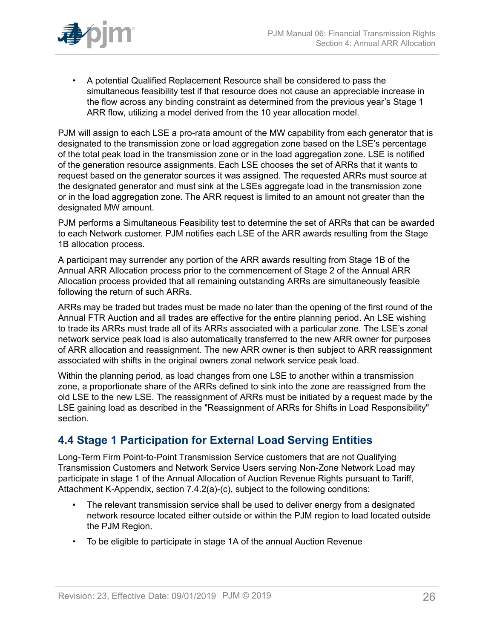

• A potential Qualified Replacement Resource shall be considered to pass the simultaneous feasibility test if that resource does not cause an appreciable increase in the flow across any binding constraint as determined from the previous year's Stage 1 ARR flow, utilizing a model derived from the 10 year allocation model.

PJM will assign to each LSE a pro-rata amount of the MW capability from each generator that is designated to the transmission zone or load aggregation zone based on the LSE's percentage of the total peak load in the transmission zone or in the load aggregation zone. LSE is notified of the generation resource assignments. Each LSE chooses the set of ARRs that it wants to request based on the generator sources it was assigned. The requested ARRs must source at the designated generator and must sink at the LSEs aggregate load in the transmission zone or in the load aggregation zone. The ARR request is limited to an amount not greater than the designated MW amount.

PJM performs a Simultaneous Feasibility test to determine the set of ARRs that can be awarded to each Network customer. PJM notifies each LSE of the ARR awards resulting from the Stage 1B allocation process.

A participant may surrender any portion of the ARR awards resulting from Stage 1B of the Annual ARR Allocation process prior to the commencement of Stage 2 of the Annual ARR Allocation process provided that all remaining outstanding ARRs are simultaneously feasible following the return of such ARRs.

ARRs may be traded but trades must be made no later than the opening of the first round of the Annual FTR Auction and all trades are effective for the entire planning period. An LSE wishing to trade its ARRs must trade all of its ARRs associated with a particular zone. The LSE's zonal network service peak load is also automatically transferred to the new ARR owner for purposes of ARR allocation and reassignment. The new ARR owner is then subject to ARR reassignment associated with shifts in the original owners zonal network service peak load.

Within the planning period, as load changes from one LSE to another within a transmission zone, a proportionate share of the ARRs defined to sink into the zone are reassigned from the old LSE to the new LSE. The reassignment of ARRs must be initiated by a request made by the LSE gaining load as described in the "Reassignment of ARRs for Shifts in Load Responsibility" section.

# <span id="page-25-0"></span>**4.4 Stage 1 Participation for External Load Serving Entities**

Long-Term Firm Point-to-Point Transmission Service customers that are not Qualifying Transmission Customers and Network Service Users serving Non-Zone Network Load may participate in stage 1 of the Annual Allocation of Auction Revenue Rights pursuant to Tariff, Attachment K-Appendix, section 7.4.2(a)-(c), subject to the following conditions:

- The relevant transmission service shall be used to deliver energy from a designated network resource located either outside or within the PJM region to load located outside the PJM Region.
- To be eligible to participate in stage 1A of the annual Auction Revenue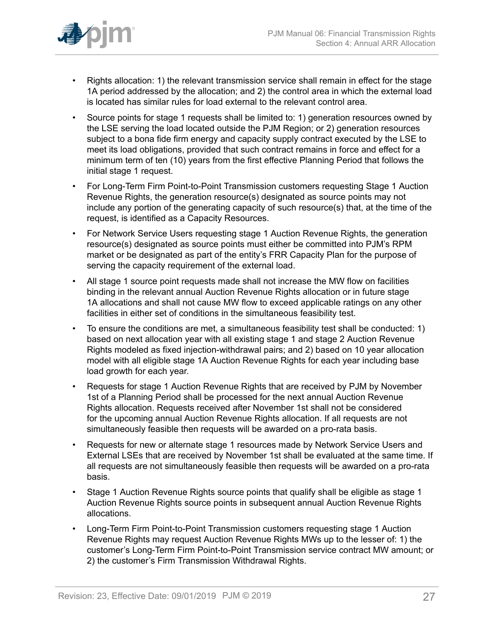

- Rights allocation: 1) the relevant transmission service shall remain in effect for the stage 1A period addressed by the allocation; and 2) the control area in which the external load is located has similar rules for load external to the relevant control area.
- Source points for stage 1 requests shall be limited to: 1) generation resources owned by the LSE serving the load located outside the PJM Region; or 2) generation resources subject to a bona fide firm energy and capacity supply contract executed by the LSE to meet its load obligations, provided that such contract remains in force and effect for a minimum term of ten (10) years from the first effective Planning Period that follows the initial stage 1 request.
- For Long-Term Firm Point-to-Point Transmission customers requesting Stage 1 Auction Revenue Rights, the generation resource(s) designated as source points may not include any portion of the generating capacity of such resource(s) that, at the time of the request, is identified as a Capacity Resources.
- For Network Service Users requesting stage 1 Auction Revenue Rights, the generation resource(s) designated as source points must either be committed into PJM's RPM market or be designated as part of the entity's FRR Capacity Plan for the purpose of serving the capacity requirement of the external load.
- All stage 1 source point requests made shall not increase the MW flow on facilities binding in the relevant annual Auction Revenue Rights allocation or in future stage 1A allocations and shall not cause MW flow to exceed applicable ratings on any other facilities in either set of conditions in the simultaneous feasibility test.
- To ensure the conditions are met, a simultaneous feasibility test shall be conducted: 1) based on next allocation year with all existing stage 1 and stage 2 Auction Revenue Rights modeled as fixed injection-withdrawal pairs; and 2) based on 10 year allocation model with all eligible stage 1A Auction Revenue Rights for each year including base load growth for each year.
- Requests for stage 1 Auction Revenue Rights that are received by PJM by November 1st of a Planning Period shall be processed for the next annual Auction Revenue Rights allocation. Requests received after November 1st shall not be considered for the upcoming annual Auction Revenue Rights allocation. If all requests are not simultaneously feasible then requests will be awarded on a pro-rata basis.
- Requests for new or alternate stage 1 resources made by Network Service Users and External LSEs that are received by November 1st shall be evaluated at the same time. If all requests are not simultaneously feasible then requests will be awarded on a pro-rata basis.
- Stage 1 Auction Revenue Rights source points that qualify shall be eligible as stage 1 Auction Revenue Rights source points in subsequent annual Auction Revenue Rights allocations.
- Long-Term Firm Point-to-Point Transmission customers requesting stage 1 Auction Revenue Rights may request Auction Revenue Rights MWs up to the lesser of: 1) the customer's Long-Term Firm Point-to-Point Transmission service contract MW amount; or 2) the customer's Firm Transmission Withdrawal Rights.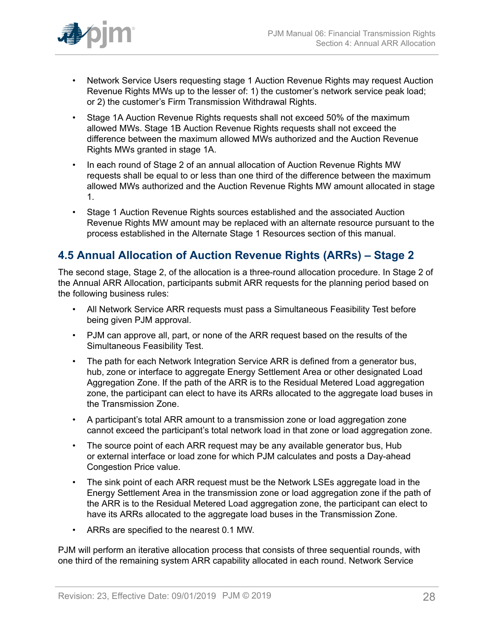

- Network Service Users requesting stage 1 Auction Revenue Rights may request Auction Revenue Rights MWs up to the lesser of: 1) the customer's network service peak load; or 2) the customer's Firm Transmission Withdrawal Rights.
- Stage 1A Auction Revenue Rights requests shall not exceed 50% of the maximum allowed MWs. Stage 1B Auction Revenue Rights requests shall not exceed the difference between the maximum allowed MWs authorized and the Auction Revenue Rights MWs granted in stage 1A.
- In each round of Stage 2 of an annual allocation of Auction Revenue Rights MW requests shall be equal to or less than one third of the difference between the maximum allowed MWs authorized and the Auction Revenue Rights MW amount allocated in stage 1.
- Stage 1 Auction Revenue Rights sources established and the associated Auction Revenue Rights MW amount may be replaced with an alternate resource pursuant to the process established in the Alternate Stage 1 Resources section of this manual.

## <span id="page-27-0"></span>**4.5 Annual Allocation of Auction Revenue Rights (ARRs) – Stage 2**

The second stage, Stage 2, of the allocation is a three-round allocation procedure. In Stage 2 of the Annual ARR Allocation, participants submit ARR requests for the planning period based on the following business rules:

- All Network Service ARR requests must pass a Simultaneous Feasibility Test before being given PJM approval.
- PJM can approve all, part, or none of the ARR request based on the results of the Simultaneous Feasibility Test.
- The path for each Network Integration Service ARR is defined from a generator bus, hub, zone or interface to aggregate Energy Settlement Area or other designated Load Aggregation Zone. If the path of the ARR is to the Residual Metered Load aggregation zone, the participant can elect to have its ARRs allocated to the aggregate load buses in the Transmission Zone.
- A participant's total ARR amount to a transmission zone or load aggregation zone cannot exceed the participant's total network load in that zone or load aggregation zone.
- The source point of each ARR request may be any available generator bus, Hub or external interface or load zone for which PJM calculates and posts a Day-ahead Congestion Price value.
- The sink point of each ARR request must be the Network LSEs aggregate load in the Energy Settlement Area in the transmission zone or load aggregation zone if the path of the ARR is to the Residual Metered Load aggregation zone, the participant can elect to have its ARRs allocated to the aggregate load buses in the Transmission Zone.
- ARRs are specified to the nearest 0.1 MW.

PJM will perform an iterative allocation process that consists of three sequential rounds, with one third of the remaining system ARR capability allocated in each round. Network Service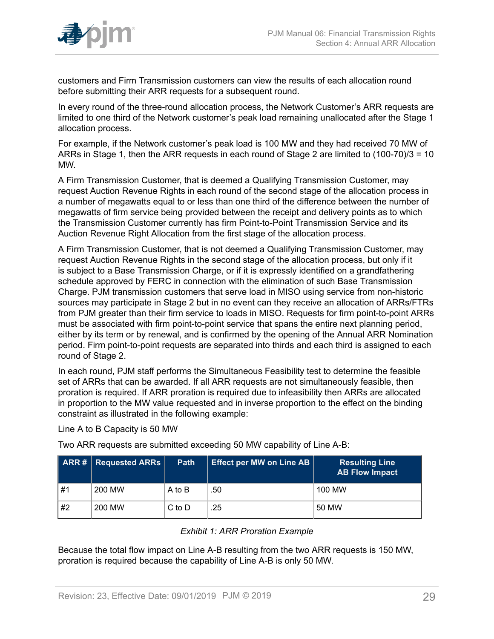

customers and Firm Transmission customers can view the results of each allocation round before submitting their ARR requests for a subsequent round.

In every round of the three-round allocation process, the Network Customer's ARR requests are limited to one third of the Network customer's peak load remaining unallocated after the Stage 1 allocation process.

For example, if the Network customer's peak load is 100 MW and they had received 70 MW of ARRs in Stage 1, then the ARR requests in each round of Stage 2 are limited to (100-70)/3 = 10 MW.

A Firm Transmission Customer, that is deemed a Qualifying Transmission Customer, may request Auction Revenue Rights in each round of the second stage of the allocation process in a number of megawatts equal to or less than one third of the difference between the number of megawatts of firm service being provided between the receipt and delivery points as to which the Transmission Customer currently has firm Point-to-Point Transmission Service and its Auction Revenue Right Allocation from the first stage of the allocation process.

A Firm Transmission Customer, that is not deemed a Qualifying Transmission Customer, may request Auction Revenue Rights in the second stage of the allocation process, but only if it is subject to a Base Transmission Charge, or if it is expressly identified on a grandfathering schedule approved by FERC in connection with the elimination of such Base Transmission Charge. PJM transmission customers that serve load in MISO using service from non-historic sources may participate in Stage 2 but in no event can they receive an allocation of ARRs/FTRs from PJM greater than their firm service to loads in MISO. Requests for firm point-to-point ARRs must be associated with firm point-to-point service that spans the entire next planning period, either by its term or by renewal, and is confirmed by the opening of the Annual ARR Nomination period. Firm point-to-point requests are separated into thirds and each third is assigned to each round of Stage 2.

In each round, PJM staff performs the Simultaneous Feasibility test to determine the feasible set of ARRs that can be awarded. If all ARR requests are not simultaneously feasible, then proration is required. If ARR proration is required due to infeasibility then ARRs are allocated in proportion to the MW value requested and in inverse proportion to the effect on the binding constraint as illustrated in the following example:

Line A to B Capacity is 50 MW

Two ARR requests are submitted exceeding 50 MW capability of Line A-B:

<span id="page-28-0"></span>

|    | ARR #   RequiredARRs | <b>Path</b> | Effect per MW on Line AB | <b>Resulting Line</b><br><b>AB Flow Impact</b> |
|----|----------------------|-------------|--------------------------|------------------------------------------------|
| #1 | 200 MW               | A to B      | .50                      | 100 MW                                         |
| #2 | 200 MW               | $C$ to $D$  | .25                      | 50 MW                                          |

#### *Exhibit 1: ARR Proration Example*

Because the total flow impact on Line A-B resulting from the two ARR requests is 150 MW, proration is required because the capability of Line A-B is only 50 MW.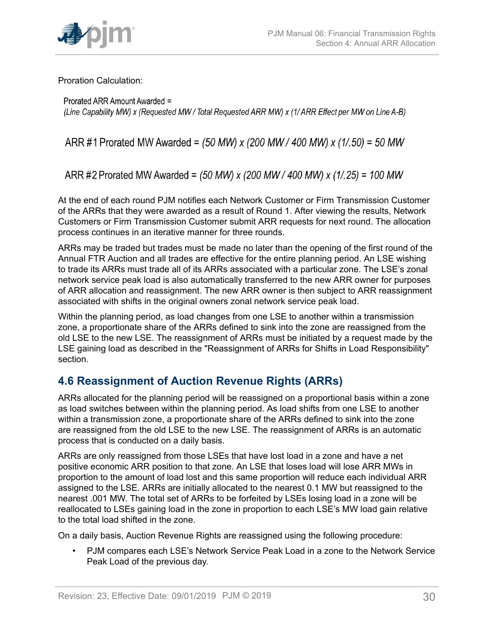

Proration Calculation:

Prorated ARR Amount Awarded = (Line Capability MW) x (Requested MW/Total Requested ARR MW) x (1/ARR Effect per MW on Line A-B)

ARR #1 Prorated MW Awarded = (50 MW) x (200 MW / 400 MW) x (1/.50) = 50 MW

ARR #2 Prorated MW Awarded = (50 MW) x (200 MW / 400 MW) x (1/.25) = 100 MW

At the end of each round PJM notifies each Network Customer or Firm Transmission Customer of the ARRs that they were awarded as a result of Round 1. After viewing the results, Network Customers or Firm Transmission Customer submit ARR requests for next round. The allocation process continues in an iterative manner for three rounds.

ARRs may be traded but trades must be made no later than the opening of the first round of the Annual FTR Auction and all trades are effective for the entire planning period. An LSE wishing to trade its ARRs must trade all of its ARRs associated with a particular zone. The LSE's zonal network service peak load is also automatically transferred to the new ARR owner for purposes of ARR allocation and reassignment. The new ARR owner is then subject to ARR reassignment associated with shifts in the original owners zonal network service peak load.

Within the planning period, as load changes from one LSE to another within a transmission zone, a proportionate share of the ARRs defined to sink into the zone are reassigned from the old LSE to the new LSE. The reassignment of ARRs must be initiated by a request made by the LSE gaining load as described in the "Reassignment of ARRs for Shifts in Load Responsibility" section.

# <span id="page-29-0"></span>**4.6 Reassignment of Auction Revenue Rights (ARRs)**

ARRs allocated for the planning period will be reassigned on a proportional basis within a zone as load switches between within the planning period. As load shifts from one LSE to another within a transmission zone, a proportionate share of the ARRs defined to sink into the zone are reassigned from the old LSE to the new LSE. The reassignment of ARRs is an automatic process that is conducted on a daily basis.

ARRs are only reassigned from those LSEs that have lost load in a zone and have a net positive economic ARR position to that zone. An LSE that loses load will lose ARR MWs in proportion to the amount of load lost and this same proportion will reduce each individual ARR assigned to the LSE. ARRs are initially allocated to the nearest 0.1 MW but reassigned to the nearest .001 MW. The total set of ARRs to be forfeited by LSEs losing load in a zone will be reallocated to LSEs gaining load in the zone in proportion to each LSE's MW load gain relative to the total load shifted in the zone.

On a daily basis, Auction Revenue Rights are reassigned using the following procedure:

• PJM compares each LSE's Network Service Peak Load in a zone to the Network Service Peak Load of the previous day.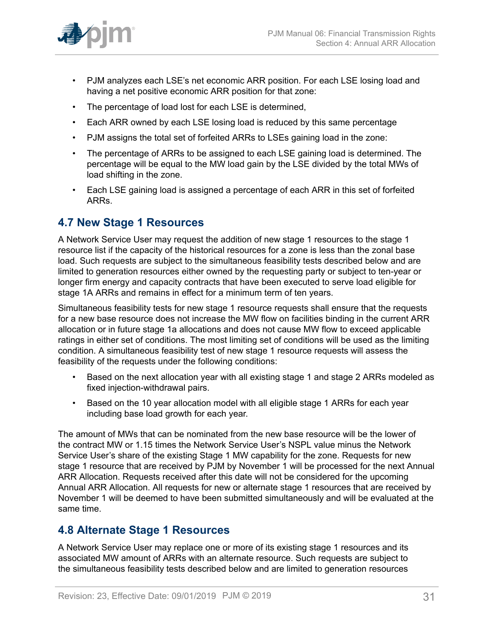

- PJM analyzes each LSE's net economic ARR position. For each LSE losing load and having a net positive economic ARR position for that zone:
- The percentage of load lost for each LSE is determined,
- Each ARR owned by each LSE losing load is reduced by this same percentage
- PJM assigns the total set of forfeited ARRs to LSEs gaining load in the zone:
- The percentage of ARRs to be assigned to each LSE gaining load is determined. The percentage will be equal to the MW load gain by the LSE divided by the total MWs of load shifting in the zone.
- Each LSE gaining load is assigned a percentage of each ARR in this set of forfeited ARRs.

### <span id="page-30-0"></span>**4.7 New Stage 1 Resources**

A Network Service User may request the addition of new stage 1 resources to the stage 1 resource list if the capacity of the historical resources for a zone is less than the zonal base load. Such requests are subject to the simultaneous feasibility tests described below and are limited to generation resources either owned by the requesting party or subject to ten-year or longer firm energy and capacity contracts that have been executed to serve load eligible for stage 1A ARRs and remains in effect for a minimum term of ten years.

Simultaneous feasibility tests for new stage 1 resource requests shall ensure that the requests for a new base resource does not increase the MW flow on facilities binding in the current ARR allocation or in future stage 1a allocations and does not cause MW flow to exceed applicable ratings in either set of conditions. The most limiting set of conditions will be used as the limiting condition. A simultaneous feasibility test of new stage 1 resource requests will assess the feasibility of the requests under the following conditions:

- Based on the next allocation year with all existing stage 1 and stage 2 ARRs modeled as fixed injection-withdrawal pairs.
- Based on the 10 year allocation model with all eligible stage 1 ARRs for each year including base load growth for each year.

The amount of MWs that can be nominated from the new base resource will be the lower of the contract MW or 1.15 times the Network Service User's NSPL value minus the Network Service User's share of the existing Stage 1 MW capability for the zone. Requests for new stage 1 resource that are received by PJM by November 1 will be processed for the next Annual ARR Allocation. Requests received after this date will not be considered for the upcoming Annual ARR Allocation. All requests for new or alternate stage 1 resources that are received by November 1 will be deemed to have been submitted simultaneously and will be evaluated at the same time.

### <span id="page-30-1"></span>**4.8 Alternate Stage 1 Resources**

A Network Service User may replace one or more of its existing stage 1 resources and its associated MW amount of ARRs with an alternate resource. Such requests are subject to the simultaneous feasibility tests described below and are limited to generation resources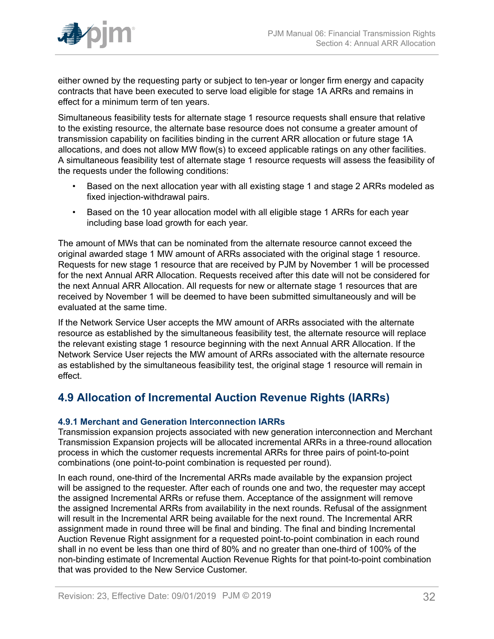

either owned by the requesting party or subject to ten-year or longer firm energy and capacity contracts that have been executed to serve load eligible for stage 1A ARRs and remains in effect for a minimum term of ten years.

Simultaneous feasibility tests for alternate stage 1 resource requests shall ensure that relative to the existing resource, the alternate base resource does not consume a greater amount of transmission capability on facilities binding in the current ARR allocation or future stage 1A allocations, and does not allow MW flow(s) to exceed applicable ratings on any other facilities. A simultaneous feasibility test of alternate stage 1 resource requests will assess the feasibility of the requests under the following conditions:

- Based on the next allocation year with all existing stage 1 and stage 2 ARRs modeled as fixed injection-withdrawal pairs.
- Based on the 10 year allocation model with all eligible stage 1 ARRs for each year including base load growth for each year.

The amount of MWs that can be nominated from the alternate resource cannot exceed the original awarded stage 1 MW amount of ARRs associated with the original stage 1 resource. Requests for new stage 1 resource that are received by PJM by November 1 will be processed for the next Annual ARR Allocation. Requests received after this date will not be considered for the next Annual ARR Allocation. All requests for new or alternate stage 1 resources that are received by November 1 will be deemed to have been submitted simultaneously and will be evaluated at the same time.

If the Network Service User accepts the MW amount of ARRs associated with the alternate resource as established by the simultaneous feasibility test, the alternate resource will replace the relevant existing stage 1 resource beginning with the next Annual ARR Allocation. If the Network Service User rejects the MW amount of ARRs associated with the alternate resource as established by the simultaneous feasibility test, the original stage 1 resource will remain in effect.

### <span id="page-31-0"></span>**4.9 Allocation of Incremental Auction Revenue Rights (IARRs)**

### <span id="page-31-1"></span>**4.9.1 Merchant and Generation Interconnection IARRs**

Transmission expansion projects associated with new generation interconnection and Merchant Transmission Expansion projects will be allocated incremental ARRs in a three-round allocation process in which the customer requests incremental ARRs for three pairs of point-to-point combinations (one point-to-point combination is requested per round).

In each round, one-third of the Incremental ARRs made available by the expansion project will be assigned to the requester. After each of rounds one and two, the requester may accept the assigned Incremental ARRs or refuse them. Acceptance of the assignment will remove the assigned Incremental ARRs from availability in the next rounds. Refusal of the assignment will result in the Incremental ARR being available for the next round. The Incremental ARR assignment made in round three will be final and binding. The final and binding Incremental Auction Revenue Right assignment for a requested point-to-point combination in each round shall in no event be less than one third of 80% and no greater than one-third of 100% of the non-binding estimate of Incremental Auction Revenue Rights for that point-to-point combination that was provided to the New Service Customer.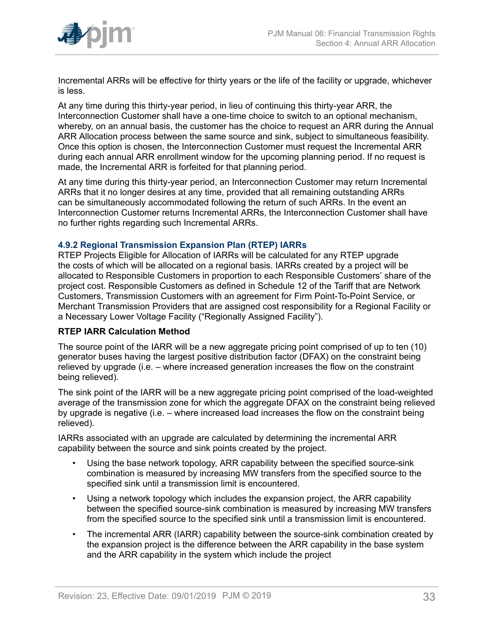

Incremental ARRs will be effective for thirty years or the life of the facility or upgrade, whichever is less.

At any time during this thirty-year period, in lieu of continuing this thirty-year ARR, the Interconnection Customer shall have a one-time choice to switch to an optional mechanism, whereby, on an annual basis, the customer has the choice to request an ARR during the Annual ARR Allocation process between the same source and sink, subject to simultaneous feasibility. Once this option is chosen, the Interconnection Customer must request the Incremental ARR during each annual ARR enrollment window for the upcoming planning period. If no request is made, the Incremental ARR is forfeited for that planning period.

At any time during this thirty-year period, an Interconnection Customer may return Incremental ARRs that it no longer desires at any time, provided that all remaining outstanding ARRs can be simultaneously accommodated following the return of such ARRs. In the event an Interconnection Customer returns Incremental ARRs, the Interconnection Customer shall have no further rights regarding such Incremental ARRs.

#### <span id="page-32-0"></span>**4.9.2 Regional Transmission Expansion Plan (RTEP) IARRs**

RTEP Projects Eligible for Allocation of IARRs will be calculated for any RTEP upgrade the costs of which will be allocated on a regional basis. IARRs created by a project will be allocated to Responsible Customers in proportion to each Responsible Customers' share of the project cost. Responsible Customers as defined in Schedule 12 of the Tariff that are Network Customers, Transmission Customers with an agreement for Firm Point-To-Point Service, or Merchant Transmission Providers that are assigned cost responsibility for a Regional Facility or a Necessary Lower Voltage Facility ("Regionally Assigned Facility").

#### **RTEP IARR Calculation Method**

The source point of the IARR will be a new aggregate pricing point comprised of up to ten (10) generator buses having the largest positive distribution factor (DFAX) on the constraint being relieved by upgrade (i.e. – where increased generation increases the flow on the constraint being relieved).

The sink point of the IARR will be a new aggregate pricing point comprised of the load-weighted average of the transmission zone for which the aggregate DFAX on the constraint being relieved by upgrade is negative (i.e. – where increased load increases the flow on the constraint being relieved).

IARRs associated with an upgrade are calculated by determining the incremental ARR capability between the source and sink points created by the project.

- Using the base network topology, ARR capability between the specified source-sink combination is measured by increasing MW transfers from the specified source to the specified sink until a transmission limit is encountered.
- Using a network topology which includes the expansion project, the ARR capability between the specified source-sink combination is measured by increasing MW transfers from the specified source to the specified sink until a transmission limit is encountered.
- The incremental ARR (IARR) capability between the source-sink combination created by the expansion project is the difference between the ARR capability in the base system and the ARR capability in the system which include the project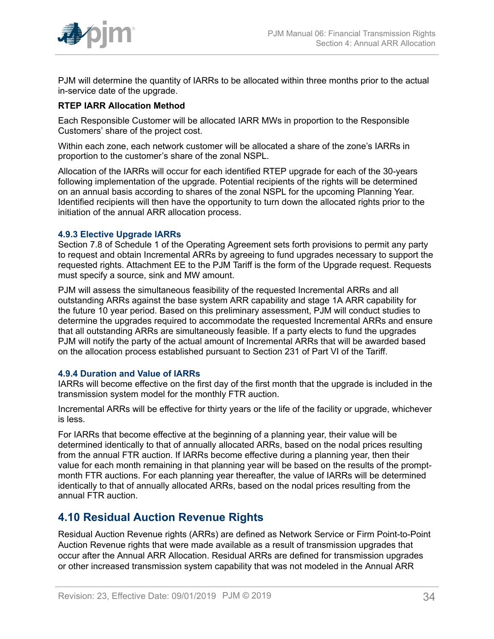

PJM will determine the quantity of IARRs to be allocated within three months prior to the actual in-service date of the upgrade.

### **RTEP IARR Allocation Method**

Each Responsible Customer will be allocated IARR MWs in proportion to the Responsible Customers' share of the project cost.

Within each zone, each network customer will be allocated a share of the zone's IARRs in proportion to the customer's share of the zonal NSPL.

Allocation of the IARRs will occur for each identified RTEP upgrade for each of the 30-years following implementation of the upgrade. Potential recipients of the rights will be determined on an annual basis according to shares of the zonal NSPL for the upcoming Planning Year. Identified recipients will then have the opportunity to turn down the allocated rights prior to the initiation of the annual ARR allocation process.

#### <span id="page-33-0"></span>**4.9.3 Elective Upgrade IARRs**

Section 7.8 of Schedule 1 of the Operating Agreement sets forth provisions to permit any party to request and obtain Incremental ARRs by agreeing to fund upgrades necessary to support the requested rights. Attachment EE to the PJM Tariff is the form of the Upgrade request. Requests must specify a source, sink and MW amount.

PJM will assess the simultaneous feasibility of the requested Incremental ARRs and all outstanding ARRs against the base system ARR capability and stage 1A ARR capability for the future 10 year period. Based on this preliminary assessment, PJM will conduct studies to determine the upgrades required to accommodate the requested Incremental ARRs and ensure that all outstanding ARRs are simultaneously feasible. If a party elects to fund the upgrades PJM will notify the party of the actual amount of Incremental ARRs that will be awarded based on the allocation process established pursuant to Section 231 of Part VI of the Tariff.

#### <span id="page-33-1"></span>**4.9.4 Duration and Value of IARRs**

IARRs will become effective on the first day of the first month that the upgrade is included in the transmission system model for the monthly FTR auction.

Incremental ARRs will be effective for thirty years or the life of the facility or upgrade, whichever is less.

For IARRs that become effective at the beginning of a planning year, their value will be determined identically to that of annually allocated ARRs, based on the nodal prices resulting from the annual FTR auction. If IARRs become effective during a planning year, then their value for each month remaining in that planning year will be based on the results of the promptmonth FTR auctions. For each planning year thereafter, the value of IARRs will be determined identically to that of annually allocated ARRs, based on the nodal prices resulting from the annual FTR auction.

### <span id="page-33-2"></span>**4.10 Residual Auction Revenue Rights**

Residual Auction Revenue rights (ARRs) are defined as Network Service or Firm Point-to-Point Auction Revenue rights that were made available as a result of transmission upgrades that occur after the Annual ARR Allocation. Residual ARRs are defined for transmission upgrades or other increased transmission system capability that was not modeled in the Annual ARR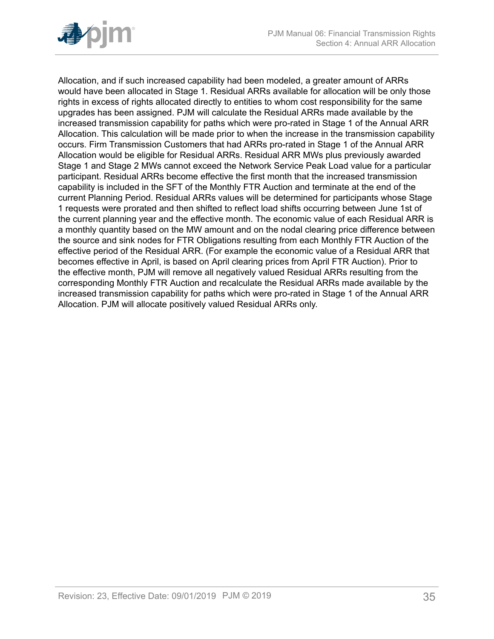

Allocation, and if such increased capability had been modeled, a greater amount of ARRs would have been allocated in Stage 1. Residual ARRs available for allocation will be only those rights in excess of rights allocated directly to entities to whom cost responsibility for the same upgrades has been assigned. PJM will calculate the Residual ARRs made available by the increased transmission capability for paths which were pro-rated in Stage 1 of the Annual ARR Allocation. This calculation will be made prior to when the increase in the transmission capability occurs. Firm Transmission Customers that had ARRs pro-rated in Stage 1 of the Annual ARR Allocation would be eligible for Residual ARRs. Residual ARR MWs plus previously awarded Stage 1 and Stage 2 MWs cannot exceed the Network Service Peak Load value for a particular participant. Residual ARRs become effective the first month that the increased transmission capability is included in the SFT of the Monthly FTR Auction and terminate at the end of the current Planning Period. Residual ARRs values will be determined for participants whose Stage 1 requests were prorated and then shifted to reflect load shifts occurring between June 1st of the current planning year and the effective month. The economic value of each Residual ARR is a monthly quantity based on the MW amount and on the nodal clearing price difference between the source and sink nodes for FTR Obligations resulting from each Monthly FTR Auction of the effective period of the Residual ARR. (For example the economic value of a Residual ARR that becomes effective in April, is based on April clearing prices from April FTR Auction). Prior to the effective month, PJM will remove all negatively valued Residual ARRs resulting from the corresponding Monthly FTR Auction and recalculate the Residual ARRs made available by the increased transmission capability for paths which were pro-rated in Stage 1 of the Annual ARR Allocation. PJM will allocate positively valued Residual ARRs only.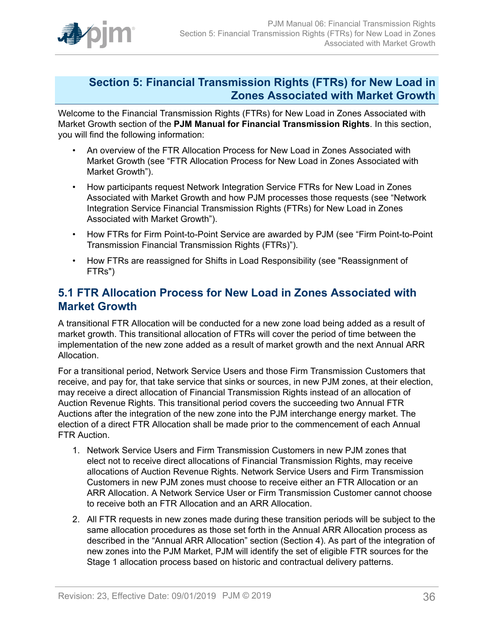

### <span id="page-35-0"></span>**Section 5: Financial Transmission Rights (FTRs) for New Load in Zones Associated with Market Growth**

Welcome to the Financial Transmission Rights (FTRs) for New Load in Zones Associated with Market Growth section of the **PJM Manual for Financial Transmission Rights**. In this section, you will find the following information:

- An overview of the FTR Allocation Process for New Load in Zones Associated with Market Growth (see "FTR Allocation Process for New Load in Zones Associated with Market Growth").
- How participants request Network Integration Service FTRs for New Load in Zones Associated with Market Growth and how PJM processes those requests (see "Network Integration Service Financial Transmission Rights (FTRs) for New Load in Zones Associated with Market Growth").
- How FTRs for Firm Point-to-Point Service are awarded by PJM (see "Firm Point-to-Point Transmission Financial Transmission Rights (FTRs)").
- How FTRs are reassigned for Shifts in Load Responsibility (see "Reassignment of FTRs")

### <span id="page-35-1"></span>**5.1 FTR Allocation Process for New Load in Zones Associated with Market Growth**

A transitional FTR Allocation will be conducted for a new zone load being added as a result of market growth. This transitional allocation of FTRs will cover the period of time between the implementation of the new zone added as a result of market growth and the next Annual ARR Allocation.

For a transitional period, Network Service Users and those Firm Transmission Customers that receive, and pay for, that take service that sinks or sources, in new PJM zones, at their election, may receive a direct allocation of Financial Transmission Rights instead of an allocation of Auction Revenue Rights. This transitional period covers the succeeding two Annual FTR Auctions after the integration of the new zone into the PJM interchange energy market. The election of a direct FTR Allocation shall be made prior to the commencement of each Annual FTR Auction.

- 1. Network Service Users and Firm Transmission Customers in new PJM zones that elect not to receive direct allocations of Financial Transmission Rights, may receive allocations of Auction Revenue Rights. Network Service Users and Firm Transmission Customers in new PJM zones must choose to receive either an FTR Allocation or an ARR Allocation. A Network Service User or Firm Transmission Customer cannot choose to receive both an FTR Allocation and an ARR Allocation.
- 2. All FTR requests in new zones made during these transition periods will be subject to the same allocation procedures as those set forth in the Annual ARR Allocation process as described in the "Annual ARR Allocation" section (Section 4). As part of the integration of new zones into the PJM Market, PJM will identify the set of eligible FTR sources for the Stage 1 allocation process based on historic and contractual delivery patterns.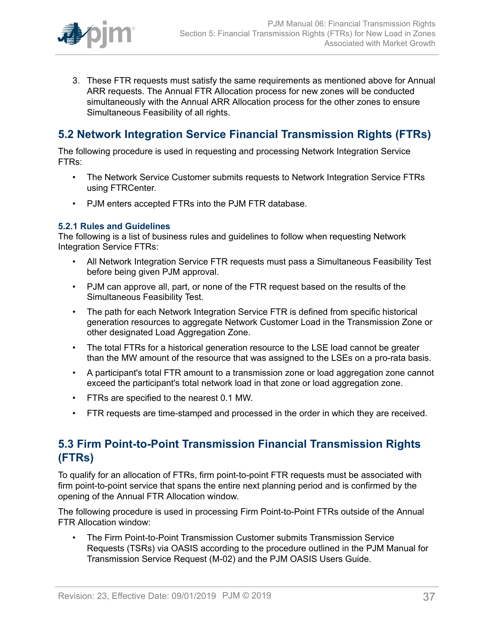

3. These FTR requests must satisfy the same requirements as mentioned above for Annual ARR requests. The Annual FTR Allocation process for new zones will be conducted simultaneously with the Annual ARR Allocation process for the other zones to ensure Simultaneous Feasibility of all rights.

# <span id="page-36-0"></span>**5.2 Network Integration Service Financial Transmission Rights (FTRs)**

The following procedure is used in requesting and processing Network Integration Service FTRs:

- The Network Service Customer submits requests to Network Integration Service FTRs using FTRCenter.
- PJM enters accepted FTRs into the PJM FTR database.

#### <span id="page-36-1"></span>**5.2.1 Rules and Guidelines**

The following is a list of business rules and guidelines to follow when requesting Network Integration Service FTRs:

- All Network Integration Service FTR requests must pass a Simultaneous Feasibility Test before being given PJM approval.
- PJM can approve all, part, or none of the FTR request based on the results of the Simultaneous Feasibility Test.
- The path for each Network Integration Service FTR is defined from specific historical generation resources to aggregate Network Customer Load in the Transmission Zone or other designated Load Aggregation Zone.
- The total FTRs for a historical generation resource to the LSE load cannot be greater than the MW amount of the resource that was assigned to the LSEs on a pro-rata basis.
- A participant's total FTR amount to a transmission zone or load aggregation zone cannot exceed the participant's total network load in that zone or load aggregation zone.
- FTRs are specified to the nearest 0.1 MW.
- FTR requests are time-stamped and processed in the order in which they are received.

## <span id="page-36-2"></span>**5.3 Firm Point-to-Point Transmission Financial Transmission Rights (FTRs)**

To qualify for an allocation of FTRs, firm point-to-point FTR requests must be associated with firm point-to-point service that spans the entire next planning period and is confirmed by the opening of the Annual FTR Allocation window.

The following procedure is used in processing Firm Point-to-Point FTRs outside of the Annual FTR Allocation window:

• The Firm Point-to-Point Transmission Customer submits Transmission Service Requests (TSRs) via OASIS according to the procedure outlined in the PJM Manual for Transmission Service Request (M-02) and the PJM OASIS Users Guide.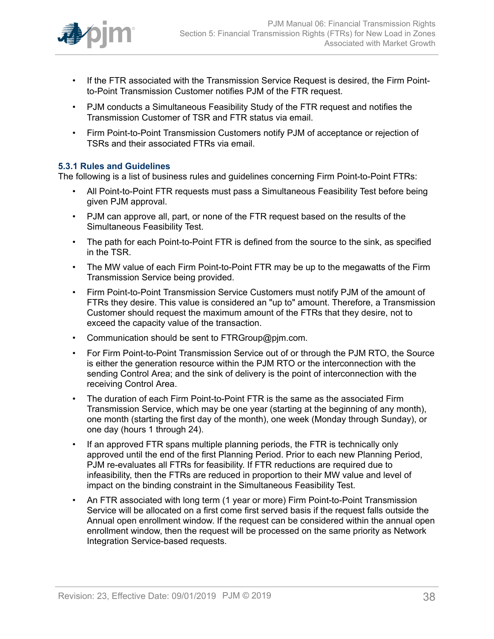

- If the FTR associated with the Transmission Service Request is desired, the Firm Pointto-Point Transmission Customer notifies PJM of the FTR request.
- PJM conducts a Simultaneous Feasibility Study of the FTR request and notifies the Transmission Customer of TSR and FTR status via email.
- Firm Point-to-Point Transmission Customers notify PJM of acceptance or rejection of TSRs and their associated FTRs via email.

#### <span id="page-37-0"></span>**5.3.1 Rules and Guidelines**

The following is a list of business rules and guidelines concerning Firm Point-to-Point FTRs:

- All Point-to-Point FTR requests must pass a Simultaneous Feasibility Test before being given PJM approval.
- PJM can approve all, part, or none of the FTR request based on the results of the Simultaneous Feasibility Test.
- The path for each Point-to-Point FTR is defined from the source to the sink, as specified in the TSR.
- The MW value of each Firm Point-to-Point FTR may be up to the megawatts of the Firm Transmission Service being provided.
- Firm Point-to-Point Transmission Service Customers must notify PJM of the amount of FTRs they desire. This value is considered an "up to" amount. Therefore, a Transmission Customer should request the maximum amount of the FTRs that they desire, not to exceed the capacity value of the transaction.
- Communication should be sent to FTRGroup@pjm.com.
- For Firm Point-to-Point Transmission Service out of or through the PJM RTO, the Source is either the generation resource within the PJM RTO or the interconnection with the sending Control Area; and the sink of delivery is the point of interconnection with the receiving Control Area.
- The duration of each Firm Point-to-Point FTR is the same as the associated Firm Transmission Service, which may be one year (starting at the beginning of any month), one month (starting the first day of the month), one week (Monday through Sunday), or one day (hours 1 through 24).
- If an approved FTR spans multiple planning periods, the FTR is technically only approved until the end of the first Planning Period. Prior to each new Planning Period, PJM re-evaluates all FTRs for feasibility. If FTR reductions are required due to infeasibility, then the FTRs are reduced in proportion to their MW value and level of impact on the binding constraint in the Simultaneous Feasibility Test.
- An FTR associated with long term (1 year or more) Firm Point-to-Point Transmission Service will be allocated on a first come first served basis if the request falls outside the Annual open enrollment window. If the request can be considered within the annual open enrollment window, then the request will be processed on the same priority as Network Integration Service-based requests.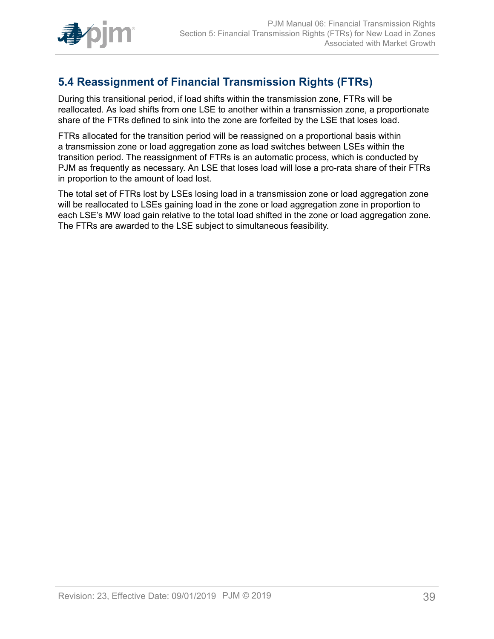

# <span id="page-38-0"></span>**5.4 Reassignment of Financial Transmission Rights (FTRs)**

During this transitional period, if load shifts within the transmission zone, FTRs will be reallocated. As load shifts from one LSE to another within a transmission zone, a proportionate share of the FTRs defined to sink into the zone are forfeited by the LSE that loses load.

FTRs allocated for the transition period will be reassigned on a proportional basis within a transmission zone or load aggregation zone as load switches between LSEs within the transition period. The reassignment of FTRs is an automatic process, which is conducted by PJM as frequently as necessary. An LSE that loses load will lose a pro-rata share of their FTRs in proportion to the amount of load lost.

The total set of FTRs lost by LSEs losing load in a transmission zone or load aggregation zone will be reallocated to LSEs gaining load in the zone or load aggregation zone in proportion to each LSE's MW load gain relative to the total load shifted in the zone or load aggregation zone. The FTRs are awarded to the LSE subject to simultaneous feasibility.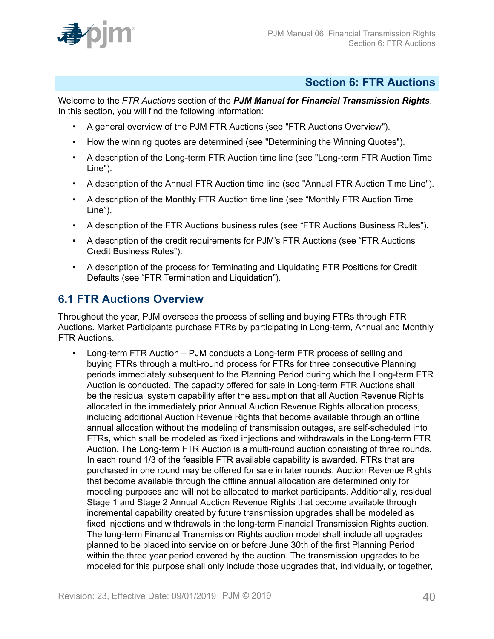

### <span id="page-39-0"></span>**Section 6: FTR Auctions**

Welcome to the *FTR Auctions* section of the *PJM Manual for Financial Transmission Rights*. In this section, you will find the following information:

- A general overview of the PJM FTR Auctions (see "FTR Auctions Overview").
- How the winning quotes are determined (see "Determining the Winning Quotes").
- A description of the Long-term FTR Auction time line (see "Long-term FTR Auction Time Line").
- A description of the Annual FTR Auction time line (see "Annual FTR Auction Time Line").
- A description of the Monthly FTR Auction time line (see "Monthly FTR Auction Time Line").
- A description of the FTR Auctions business rules (see "FTR Auctions Business Rules").
- A description of the credit requirements for PJM's FTR Auctions (see "FTR Auctions Credit Business Rules").
- A description of the process for Terminating and Liquidating FTR Positions for Credit Defaults (see "FTR Termination and Liquidation").

## <span id="page-39-1"></span>**6.1 FTR Auctions Overview**

Throughout the year, PJM oversees the process of selling and buying FTRs through FTR Auctions. Market Participants purchase FTRs by participating in Long-term, Annual and Monthly FTR Auctions.

• Long-term FTR Auction – PJM conducts a Long-term FTR process of selling and buying FTRs through a multi-round process for FTRs for three consecutive Planning periods immediately subsequent to the Planning Period during which the Long-term FTR Auction is conducted. The capacity offered for sale in Long-term FTR Auctions shall be the residual system capability after the assumption that all Auction Revenue Rights allocated in the immediately prior Annual Auction Revenue Rights allocation process, including additional Auction Revenue Rights that become available through an offline annual allocation without the modeling of transmission outages, are self-scheduled into FTRs, which shall be modeled as fixed injections and withdrawals in the Long-term FTR Auction. The Long-term FTR Auction is a multi-round auction consisting of three rounds. In each round 1/3 of the feasible FTR available capability is awarded. FTRs that are purchased in one round may be offered for sale in later rounds. Auction Revenue Rights that become available through the offline annual allocation are determined only for modeling purposes and will not be allocated to market participants. Additionally, residual Stage 1 and Stage 2 Annual Auction Revenue Rights that become available through incremental capability created by future transmission upgrades shall be modeled as fixed injections and withdrawals in the long-term Financial Transmission Rights auction. The long-term Financial Transmission Rights auction model shall include all upgrades planned to be placed into service on or before June 30th of the first Planning Period within the three year period covered by the auction. The transmission upgrades to be modeled for this purpose shall only include those upgrades that, individually, or together,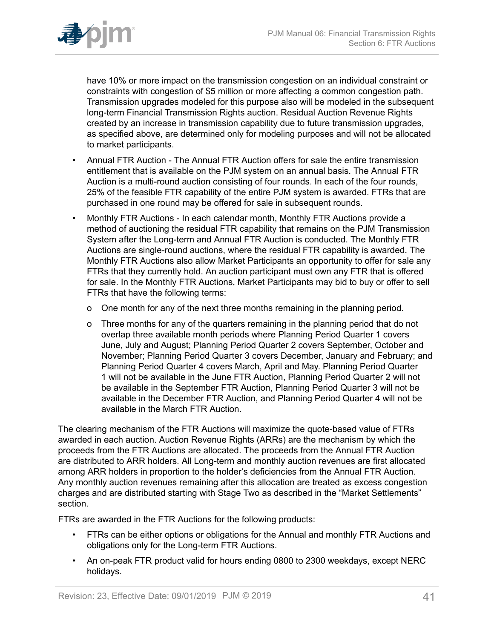

have 10% or more impact on the transmission congestion on an individual constraint or constraints with congestion of \$5 million or more affecting a common congestion path. Transmission upgrades modeled for this purpose also will be modeled in the subsequent long-term Financial Transmission Rights auction. Residual Auction Revenue Rights created by an increase in transmission capability due to future transmission upgrades, as specified above, are determined only for modeling purposes and will not be allocated to market participants.

- Annual FTR Auction The Annual FTR Auction offers for sale the entire transmission entitlement that is available on the PJM system on an annual basis. The Annual FTR Auction is a multi-round auction consisting of four rounds. In each of the four rounds, 25% of the feasible FTR capability of the entire PJM system is awarded. FTRs that are purchased in one round may be offered for sale in subsequent rounds.
- Monthly FTR Auctions In each calendar month, Monthly FTR Auctions provide a method of auctioning the residual FTR capability that remains on the PJM Transmission System after the Long-term and Annual FTR Auction is conducted. The Monthly FTR Auctions are single-round auctions, where the residual FTR capability is awarded. The Monthly FTR Auctions also allow Market Participants an opportunity to offer for sale any FTRs that they currently hold. An auction participant must own any FTR that is offered for sale. In the Monthly FTR Auctions, Market Participants may bid to buy or offer to sell FTRs that have the following terms:
	- o One month for any of the next three months remaining in the planning period.
	- o Three months for any of the quarters remaining in the planning period that do not overlap three available month periods where Planning Period Quarter 1 covers June, July and August; Planning Period Quarter 2 covers September, October and November; Planning Period Quarter 3 covers December, January and February; and Planning Period Quarter 4 covers March, April and May. Planning Period Quarter 1 will not be available in the June FTR Auction, Planning Period Quarter 2 will not be available in the September FTR Auction, Planning Period Quarter 3 will not be available in the December FTR Auction, and Planning Period Quarter 4 will not be available in the March FTR Auction.

The clearing mechanism of the FTR Auctions will maximize the quote-based value of FTRs awarded in each auction. Auction Revenue Rights (ARRs) are the mechanism by which the proceeds from the FTR Auctions are allocated. The proceeds from the Annual FTR Auction are distributed to ARR holders. All Long-term and monthly auction revenues are first allocated among ARR holders in proportion to the holder's deficiencies from the Annual FTR Auction. Any monthly auction revenues remaining after this allocation are treated as excess congestion charges and are distributed starting with Stage Two as described in the "Market Settlements" section.

FTRs are awarded in the FTR Auctions for the following products:

- FTRs can be either options or obligations for the Annual and monthly FTR Auctions and obligations only for the Long-term FTR Auctions.
- An on-peak FTR product valid for hours ending 0800 to 2300 weekdays, except NERC holidays.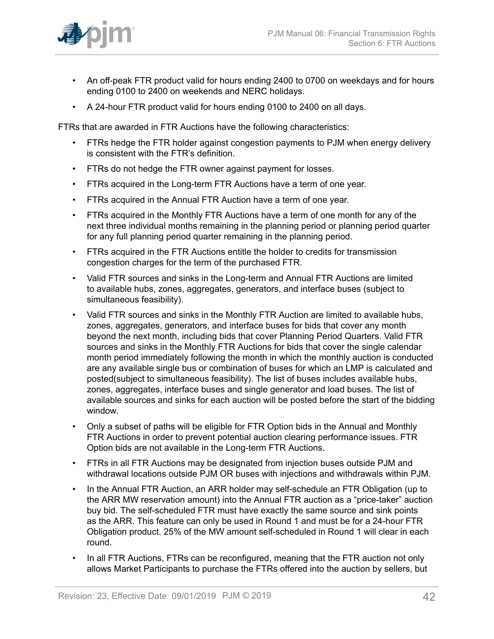

- An off-peak FTR product valid for hours ending 2400 to 0700 on weekdays and for hours ending 0100 to 2400 on weekends and NERC holidays.
- A 24-hour FTR product valid for hours ending 0100 to 2400 on all days.

FTRs that are awarded in FTR Auctions have the following characteristics:

- FTRs hedge the FTR holder against congestion payments to PJM when energy delivery is consistent with the FTR's definition.
- FTRs do not hedge the FTR owner against payment for losses.
- FTRs acquired in the Long-term FTR Auctions have a term of one year.
- FTRs acquired in the Annual FTR Auction have a term of one year.
- FTRs acquired in the Monthly FTR Auctions have a term of one month for any of the next three individual months remaining in the planning period or planning period quarter for any full planning period quarter remaining in the planning period.
- FTRs acquired in the FTR Auctions entitle the holder to credits for transmission congestion charges for the term of the purchased FTR.
- Valid FTR sources and sinks in the Long-term and Annual FTR Auctions are limited to available hubs, zones, aggregates, generators, and interface buses (subject to simultaneous feasibility).
- Valid FTR sources and sinks in the Monthly FTR Auction are limited to available hubs, zones, aggregates, generators, and interface buses for bids that cover any month beyond the next month, including bids that cover Planning Period Quarters. Valid FTR sources and sinks in the Monthly FTR Auctions for bids that cover the single calendar month period immediately following the month in which the monthly auction is conducted are any available single bus or combination of buses for which an LMP is calculated and posted(subject to simultaneous feasibility). The list of buses includes available hubs, zones, aggregates, interface buses and single generator and load buses. The list of available sources and sinks for each auction will be posted before the start of the bidding window.
- Only a subset of paths will be eligible for FTR Option bids in the Annual and Monthly FTR Auctions in order to prevent potential auction clearing performance issues. FTR Option bids are not available in the Long-term FTR Auctions.
- FTRs in all FTR Auctions may be designated from injection buses outside PJM and withdrawal locations outside PJM OR buses with injections and withdrawals within PJM.
- In the Annual FTR Auction, an ARR holder may self-schedule an FTR Obligation (up to the ARR MW reservation amount) into the Annual FTR auction as a "price-taker" auction buy bid. The self-scheduled FTR must have exactly the same source and sink points as the ARR. This feature can only be used in Round 1 and must be for a 24-hour FTR Obligation product. 25% of the MW amount self-scheduled in Round 1 will clear in each round.
- In all FTR Auctions, FTRs can be reconfigured, meaning that the FTR auction not only allows Market Participants to purchase the FTRs offered into the auction by sellers, but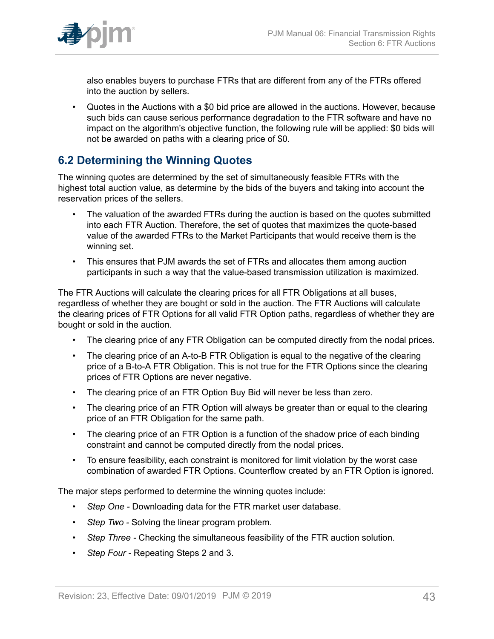

also enables buyers to purchase FTRs that are different from any of the FTRs offered into the auction by sellers.

• Quotes in the Auctions with a \$0 bid price are allowed in the auctions. However, because such bids can cause serious performance degradation to the FTR software and have no impact on the algorithm's objective function, the following rule will be applied: \$0 bids will not be awarded on paths with a clearing price of \$0.

### <span id="page-42-0"></span>**6.2 Determining the Winning Quotes**

The winning quotes are determined by the set of simultaneously feasible FTRs with the highest total auction value, as determine by the bids of the buyers and taking into account the reservation prices of the sellers.

- The valuation of the awarded FTRs during the auction is based on the quotes submitted into each FTR Auction. Therefore, the set of quotes that maximizes the quote-based value of the awarded FTRs to the Market Participants that would receive them is the winning set.
- This ensures that PJM awards the set of FTRs and allocates them among auction participants in such a way that the value-based transmission utilization is maximized.

The FTR Auctions will calculate the clearing prices for all FTR Obligations at all buses, regardless of whether they are bought or sold in the auction. The FTR Auctions will calculate the clearing prices of FTR Options for all valid FTR Option paths, regardless of whether they are bought or sold in the auction.

- The clearing price of any FTR Obligation can be computed directly from the nodal prices.
- The clearing price of an A-to-B FTR Obligation is equal to the negative of the clearing price of a B-to-A FTR Obligation. This is not true for the FTR Options since the clearing prices of FTR Options are never negative.
- The clearing price of an FTR Option Buy Bid will never be less than zero.
- The clearing price of an FTR Option will always be greater than or equal to the clearing price of an FTR Obligation for the same path.
- The clearing price of an FTR Option is a function of the shadow price of each binding constraint and cannot be computed directly from the nodal prices.
- To ensure feasibility, each constraint is monitored for limit violation by the worst case combination of awarded FTR Options. Counterflow created by an FTR Option is ignored.

The major steps performed to determine the winning quotes include:

- *Step One* Downloading data for the FTR market user database.
- *Step Two -* Solving the linear program problem.
- *Step Three* Checking the simultaneous feasibility of the FTR auction solution.
- *Step Four* Repeating Steps 2 and 3.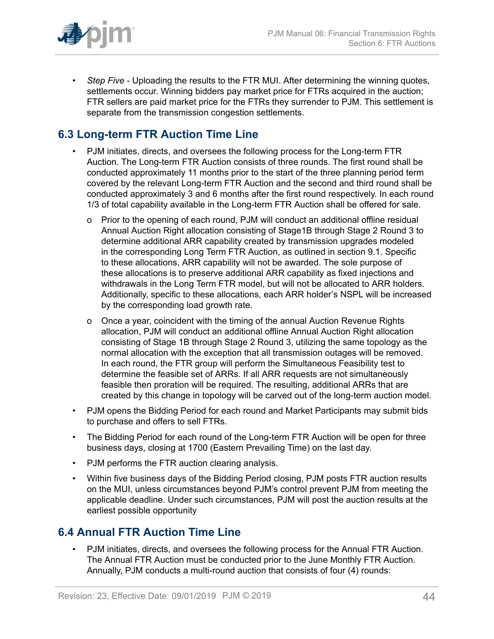

• *Step Five -* Uploading the results to the FTR MUI. After determining the winning quotes, settlements occur. Winning bidders pay market price for FTRs acquired in the auction; FTR sellers are paid market price for the FTRs they surrender to PJM. This settlement is separate from the transmission congestion settlements.

# <span id="page-43-0"></span>**6.3 Long-term FTR Auction Time Line**

- PJM initiates, directs, and oversees the following process for the Long-term FTR Auction. The Long-term FTR Auction consists of three rounds. The first round shall be conducted approximately 11 months prior to the start of the three planning period term covered by the relevant Long-term FTR Auction and the second and third round shall be conducted approximately 3 and 6 months after the first round respectively. In each round 1/3 of total capability available in the Long-term FTR Auction shall be offered for sale.
	- o Prior to the opening of each round, PJM will conduct an additional offline residual Annual Auction Right allocation consisting of Stage1B through Stage 2 Round 3 to determine additional ARR capability created by transmission upgrades modeled in the corresponding Long Term FTR Auction, as outlined in section 9.1. Specific to these allocations, ARR capability will not be awarded. The sole purpose of these allocations is to preserve additional ARR capability as fixed injections and withdrawals in the Long Term FTR model, but will not be allocated to ARR holders. Additionally, specific to these allocations, each ARR holder's NSPL will be increased by the corresponding load growth rate.
	- o Once a year, coincident with the timing of the annual Auction Revenue Rights allocation, PJM will conduct an additional offline Annual Auction Right allocation consisting of Stage 1B through Stage 2 Round 3, utilizing the same topology as the normal allocation with the exception that all transmission outages will be removed. In each round, the FTR group will perform the Simultaneous Feasibility test to determine the feasible set of ARRs. If all ARR requests are not simultaneously feasible then proration will be required. The resulting, additional ARRs that are created by this change in topology will be carved out of the long-term auction model.
- PJM opens the Bidding Period for each round and Market Participants may submit bids to purchase and offers to sell FTRs.
- The Bidding Period for each round of the Long-term FTR Auction will be open for three business days, closing at 1700 (Eastern Prevailing Time) on the last day.
- PJM performs the FTR auction clearing analysis.
- Within five business days of the Bidding Period closing, PJM posts FTR auction results on the MUI, unless circumstances beyond PJM's control prevent PJM from meeting the applicable deadline. Under such circumstances, PJM will post the auction results at the earliest possible opportunity

### <span id="page-43-1"></span>**6.4 Annual FTR Auction Time Line**

• PJM initiates, directs, and oversees the following process for the Annual FTR Auction. The Annual FTR Auction must be conducted prior to the June Monthly FTR Auction. Annually, PJM conducts a multi-round auction that consists of four (4) rounds: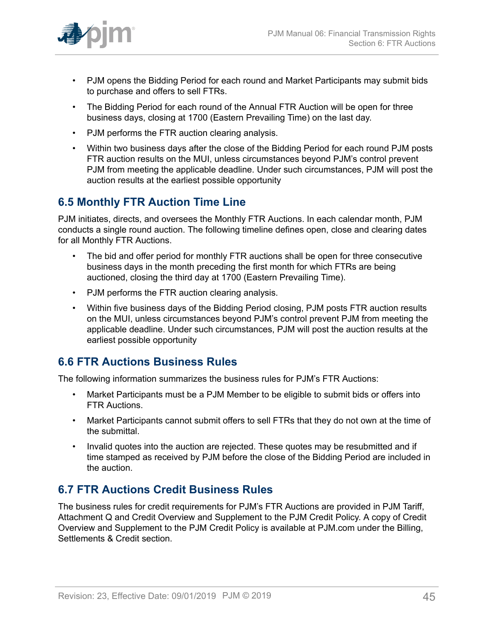

- PJM opens the Bidding Period for each round and Market Participants may submit bids to purchase and offers to sell FTRs.
- The Bidding Period for each round of the Annual FTR Auction will be open for three business days, closing at 1700 (Eastern Prevailing Time) on the last day.
- PJM performs the FTR auction clearing analysis.
- Within two business days after the close of the Bidding Period for each round PJM posts FTR auction results on the MUI, unless circumstances beyond PJM's control prevent PJM from meeting the applicable deadline. Under such circumstances, PJM will post the auction results at the earliest possible opportunity

## <span id="page-44-0"></span>**6.5 Monthly FTR Auction Time Line**

PJM initiates, directs, and oversees the Monthly FTR Auctions. In each calendar month, PJM conducts a single round auction. The following timeline defines open, close and clearing dates for all Monthly FTR Auctions.

- The bid and offer period for monthly FTR auctions shall be open for three consecutive business days in the month preceding the first month for which FTRs are being auctioned, closing the third day at 1700 (Eastern Prevailing Time).
- PJM performs the FTR auction clearing analysis.
- Within five business days of the Bidding Period closing, PJM posts FTR auction results on the MUI, unless circumstances beyond PJM's control prevent PJM from meeting the applicable deadline. Under such circumstances, PJM will post the auction results at the earliest possible opportunity

### <span id="page-44-1"></span>**6.6 FTR Auctions Business Rules**

The following information summarizes the business rules for PJM's FTR Auctions:

- Market Participants must be a PJM Member to be eligible to submit bids or offers into FTR Auctions.
- Market Participants cannot submit offers to sell FTRs that they do not own at the time of the submittal.
- Invalid quotes into the auction are rejected. These quotes may be resubmitted and if time stamped as received by PJM before the close of the Bidding Period are included in the auction.

# <span id="page-44-2"></span>**6.7 FTR Auctions Credit Business Rules**

The business rules for credit requirements for PJM's FTR Auctions are provided in PJM Tariff, Attachment Q and Credit Overview and Supplement to the PJM Credit Policy. A copy of Credit Overview and Supplement to the PJM Credit Policy is available at PJM.com under the Billing, Settlements & Credit section.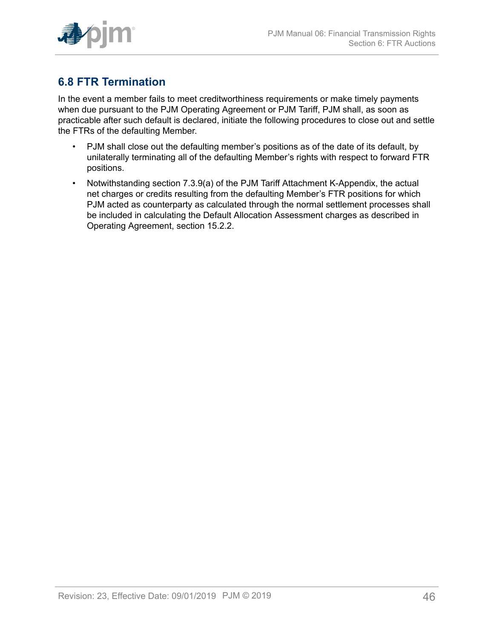

# <span id="page-45-0"></span>**6.8 FTR Termination**

In the event a member fails to meet creditworthiness requirements or make timely payments when due pursuant to the PJM Operating Agreement or PJM Tariff, PJM shall, as soon as practicable after such default is declared, initiate the following procedures to close out and settle the FTRs of the defaulting Member.

- PJM shall close out the defaulting member's positions as of the date of its default, by unilaterally terminating all of the defaulting Member's rights with respect to forward FTR positions.
- Notwithstanding section 7.3.9(a) of the PJM Tariff Attachment K-Appendix, the actual net charges or credits resulting from the defaulting Member's FTR positions for which PJM acted as counterparty as calculated through the normal settlement processes shall be included in calculating the Default Allocation Assessment charges as described in Operating Agreement, section 15.2.2.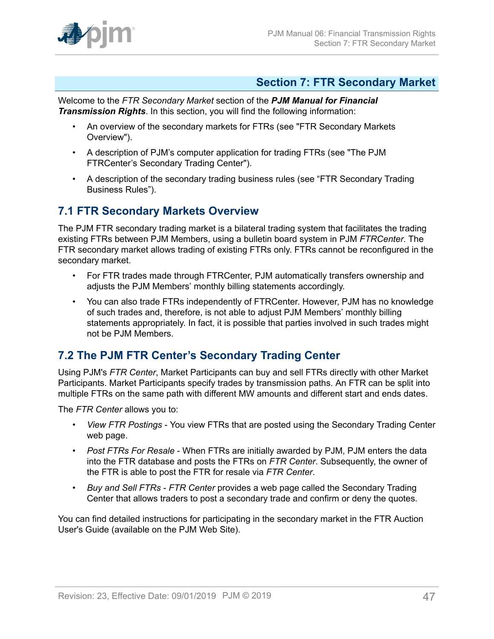

### <span id="page-46-0"></span>**Section 7: FTR Secondary Market**

Welcome to the *FTR Secondary Market* section of the *PJM Manual for Financial Transmission Rights*. In this section, you will find the following information:

- An overview of the secondary markets for FTRs (see "FTR Secondary Markets Overview").
- A description of PJM's computer application for trading FTRs (see "The PJM FTRCenter's Secondary Trading Center").
- A description of the secondary trading business rules (see "FTR Secondary Trading Business Rules").

### <span id="page-46-1"></span>**7.1 FTR Secondary Markets Overview**

The PJM FTR secondary trading market is a bilateral trading system that facilitates the trading existing FTRs between PJM Members, using a bulletin board system in PJM *FTRCenter*. The FTR secondary market allows trading of existing FTRs only. FTRs cannot be reconfigured in the secondary market.

- For FTR trades made through FTRCenter, PJM automatically transfers ownership and adjusts the PJM Members' monthly billing statements accordingly.
- You can also trade FTRs independently of FTRCenter. However, PJM has no knowledge of such trades and, therefore, is not able to adjust PJM Members' monthly billing statements appropriately. In fact, it is possible that parties involved in such trades might not be PJM Members.

# <span id="page-46-2"></span>**7.2 The PJM FTR Center's Secondary Trading Center**

Using PJM's *FTR Center*, Market Participants can buy and sell FTRs directly with other Market Participants. Market Participants specify trades by transmission paths. An FTR can be split into multiple FTRs on the same path with different MW amounts and different start and ends dates.

The *FTR Center* allows you to:

- *View FTR Postings* You view FTRs that are posted using the Secondary Trading Center web page.
- *Post FTRs For Resale* When FTRs are initially awarded by PJM, PJM enters the data into the FTR database and posts the FTRs on *FTR Center*. Subsequently, the owner of the FTR is able to post the FTR for resale via *FTR Center*.
- *Buy and Sell FTRs FTR Center* provides a web page called the Secondary Trading Center that allows traders to post a secondary trade and confirm or deny the quotes.

You can find detailed instructions for participating in the secondary market in the FTR Auction User's Guide (available on the PJM Web Site).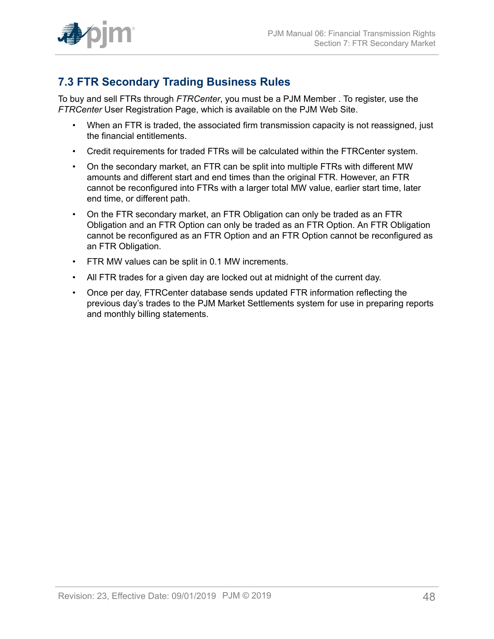

# <span id="page-47-0"></span>**7.3 FTR Secondary Trading Business Rules**

To buy and sell FTRs through *FTRCenter*, you must be a PJM Member . To register, use the *FTRCenter* User Registration Page, which is available on the PJM Web Site.

- When an FTR is traded, the associated firm transmission capacity is not reassigned, just the financial entitlements.
- Credit requirements for traded FTRs will be calculated within the FTRCenter system.
- On the secondary market, an FTR can be split into multiple FTRs with different MW amounts and different start and end times than the original FTR. However, an FTR cannot be reconfigured into FTRs with a larger total MW value, earlier start time, later end time, or different path.
- On the FTR secondary market, an FTR Obligation can only be traded as an FTR Obligation and an FTR Option can only be traded as an FTR Option. An FTR Obligation cannot be reconfigured as an FTR Option and an FTR Option cannot be reconfigured as an FTR Obligation.
- FTR MW values can be split in 0.1 MW increments.
- All FTR trades for a given day are locked out at midnight of the current day.
- Once per day, FTRCenter database sends updated FTR information reflecting the previous day's trades to the PJM Market Settlements system for use in preparing reports and monthly billing statements.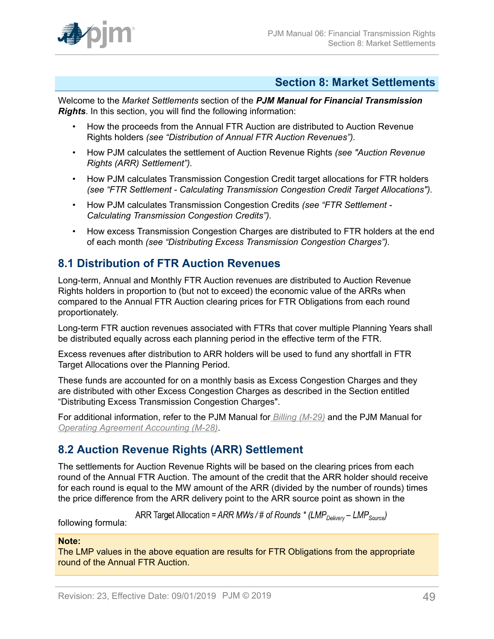

### <span id="page-48-0"></span>**Section 8: Market Settlements**

Welcome to the *Market Settlements* section of the *PJM Manual for Financial Transmission Rights*. In this section, you will find the following information:

- How the proceeds from the Annual FTR Auction are distributed to Auction Revenue Rights holders *(see "Distribution of Annual FTR Auction Revenues").*
- How PJM calculates the settlement of Auction Revenue Rights *(see "Auction Revenue Rights (ARR) Settlement").*
- How PJM calculates Transmission Congestion Credit target allocations for FTR holders *(see "FTR Settlement - Calculating Transmission Congestion Credit Target Allocations").*
- How PJM calculates Transmission Congestion Credits *(see "FTR Settlement - Calculating Transmission Congestion Credits").*
- How excess Transmission Congestion Charges are distributed to FTR holders at the end of each month *(see "Distributing Excess Transmission Congestion Charges").*

# <span id="page-48-1"></span>**8.1 Distribution of FTR Auction Revenues**

Long-term, Annual and Monthly FTR Auction revenues are distributed to Auction Revenue Rights holders in proportion to (but not to exceed) the economic value of the ARRs when compared to the Annual FTR Auction clearing prices for FTR Obligations from each round proportionately.

Long-term FTR auction revenues associated with FTRs that cover multiple Planning Years shall be distributed equally across each planning period in the effective term of the FTR.

Excess revenues after distribution to ARR holders will be used to fund any shortfall in FTR Target Allocations over the Planning Period.

These funds are accounted for on a monthly basis as Excess Congestion Charges and they are distributed with other Excess Congestion Charges as described in the Section entitled "Distributing Excess Transmission Congestion Charges".

For additional information, refer to the PJM Manual for *[Billing \(M-29\)](http://www.pjm.com/~/media/documents/manuals/m29.ashx)* and the PJM Manual for *[Operating Agreement Accounting \(M-28\)](http://www.pjm.com/~/media/documents/manuals/m28.ashx)*.

# <span id="page-48-2"></span>**8.2 Auction Revenue Rights (ARR) Settlement**

The settlements for Auction Revenue Rights will be based on the clearing prices from each round of the Annual FTR Auction. The amount of the credit that the ARR holder should receive for each round is equal to the MW amount of the ARR (divided by the number of rounds) times the price difference from the ARR delivery point to the ARR source point as shown in the

ARR Target Allocation = ARR MWs / # of Rounds \* (LMP<sub>Delivery</sub> – LMP<sub>Source</sub>)

following formula:

#### **Note:**

The LMP values in the above equation are results for FTR Obligations from the appropriate round of the Annual FTR Auction.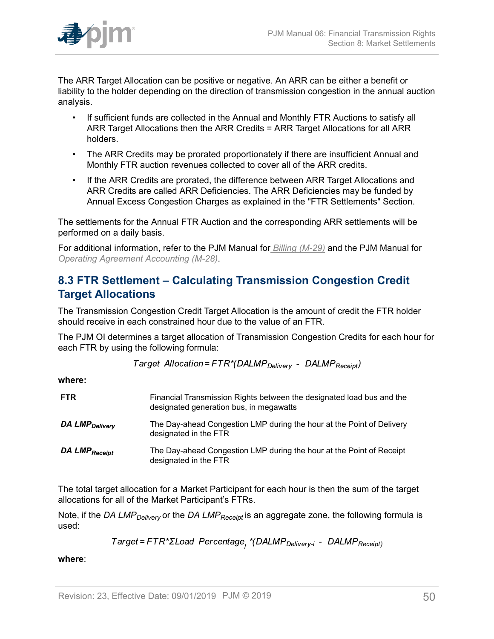

The ARR Target Allocation can be positive or negative. An ARR can be either a benefit or liability to the holder depending on the direction of transmission congestion in the annual auction analysis.

- If sufficient funds are collected in the Annual and Monthly FTR Auctions to satisfy all ARR Target Allocations then the ARR Credits = ARR Target Allocations for all ARR holders.
- The ARR Credits may be prorated proportionately if there are insufficient Annual and Monthly FTR auction revenues collected to cover all of the ARR credits.
- If the ARR Credits are prorated, the difference between ARR Target Allocations and ARR Credits are called ARR Deficiencies. The ARR Deficiencies may be funded by Annual Excess Congestion Charges as explained in the "FTR Settlements" Section.

The settlements for the Annual FTR Auction and the corresponding ARR settlements will be performed on a daily basis.

For additional information, refer to the PJM Manual for *[Billing \(M-29\)](http://www.pjm.com/~/media/documents/manuals/m29.ashx)* and the PJM Manual for *[Operating Agreement Accounting \(M-28\)](http://www.pjm.com/~/media/documents/manuals/m28.ashx)*.

## <span id="page-49-0"></span>**8.3 FTR Settlement – Calculating Transmission Congestion Credit Target Allocations**

The Transmission Congestion Credit Target Allocation is the amount of credit the FTR holder should receive in each constrained hour due to the value of an FTR.

The PJM OI determines a target allocation of Transmission Congestion Credits for each hour for each FTR by using the following formula:

Target Allocation=FTR\*(DALMP<sub>Deliverv</sub> - DALMP<sub>Receipt</sub>)

**where:**

| <b>FTR</b>                 | Financial Transmission Rights between the designated load bus and the<br>designated generation bus, in megawatts |
|----------------------------|------------------------------------------------------------------------------------------------------------------|
| DA LMP <sub>Delivery</sub> | The Day-ahead Congestion LMP during the hour at the Point of Delivery<br>designated in the FTR                   |
| DA LMP <sub>Receipt</sub>  | The Day-ahead Congestion LMP during the hour at the Point of Receipt<br>designated in the FTR                    |

The total target allocation for a Market Participant for each hour is then the sum of the target allocations for all of the Market Participant's FTRs.

Note, if the *DA LMPDelivery* or the *DA LMPReceipt* is an aggregate zone, the following formula is used:

Target=FTR\*ΣLoad Percentage<sub>;</sub> \*(DALMP<sub>Delivery-i</sub> - DALMP<sub>Receipt)</sub>

**where**: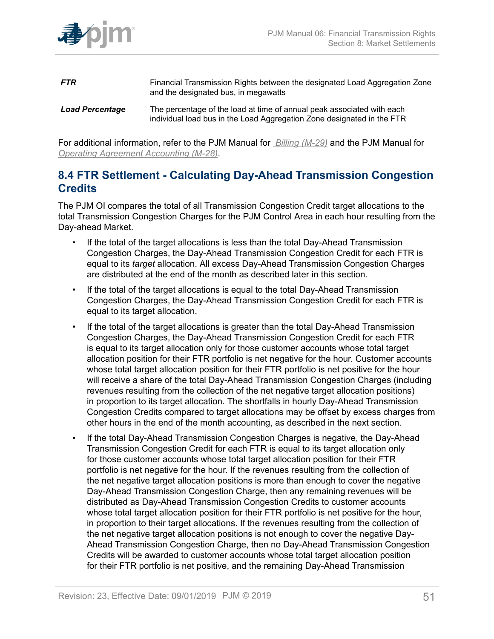

- **FTR** Financial Transmission Rights between the designated Load Aggregation Zone and the designated bus, in megawatts *Load Percentage* The percentage of the load at time of annual peak associated with each
	- individual load bus in the Load Aggregation Zone designated in the FTR

For additional information, refer to the PJM Manual for *[Billing \(M-29\)](http://www.pjm.com/~/media/documents/manuals/m29.ashx)* and the PJM Manual for *[Operating Agreement Accounting \(M-28\)](http://www.pjm.com/~/media/documents/manuals/m28.ashx)*.

### <span id="page-50-0"></span>**8.4 FTR Settlement - Calculating Day-Ahead Transmission Congestion Credits**

The PJM OI compares the total of all Transmission Congestion Credit target allocations to the total Transmission Congestion Charges for the PJM Control Area in each hour resulting from the Day-ahead Market.

- If the total of the target allocations is less than the total Day-Ahead Transmission Congestion Charges, the Day-Ahead Transmission Congestion Credit for each FTR is equal to its *target* allocation. All excess Day-Ahead Transmission Congestion Charges are distributed at the end of the month as described later in this section.
- If the total of the target allocations is equal to the total Day-Ahead Transmission Congestion Charges, the Day-Ahead Transmission Congestion Credit for each FTR is equal to its target allocation.
- If the total of the target allocations is greater than the total Day-Ahead Transmission Congestion Charges, the Day-Ahead Transmission Congestion Credit for each FTR is equal to its target allocation only for those customer accounts whose total target allocation position for their FTR portfolio is net negative for the hour. Customer accounts whose total target allocation position for their FTR portfolio is net positive for the hour will receive a share of the total Day-Ahead Transmission Congestion Charges (including revenues resulting from the collection of the net negative target allocation positions) in proportion to its target allocation. The shortfalls in hourly Day-Ahead Transmission Congestion Credits compared to target allocations may be offset by excess charges from other hours in the end of the month accounting, as described in the next section.
- If the total Day-Ahead Transmission Congestion Charges is negative, the Day-Ahead Transmission Congestion Credit for each FTR is equal to its target allocation only for those customer accounts whose total target allocation position for their FTR portfolio is net negative for the hour. If the revenues resulting from the collection of the net negative target allocation positions is more than enough to cover the negative Day-Ahead Transmission Congestion Charge, then any remaining revenues will be distributed as Day-Ahead Transmission Congestion Credits to customer accounts whose total target allocation position for their FTR portfolio is net positive for the hour, in proportion to their target allocations. If the revenues resulting from the collection of the net negative target allocation positions is not enough to cover the negative Day-Ahead Transmission Congestion Charge, then no Day-Ahead Transmission Congestion Credits will be awarded to customer accounts whose total target allocation position for their FTR portfolio is net positive, and the remaining Day-Ahead Transmission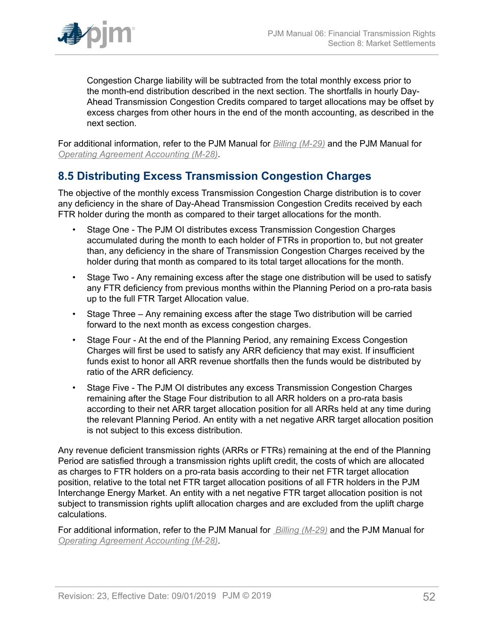

Congestion Charge liability will be subtracted from the total monthly excess prior to the month-end distribution described in the next section. The shortfalls in hourly Day-Ahead Transmission Congestion Credits compared to target allocations may be offset by excess charges from other hours in the end of the month accounting, as described in the next section.

For additional information, refer to the PJM Manual for *[Billing \(M-29\)](http://www.pjm.com/~/media/documents/manuals/m29.ashx)* and the PJM Manual for *[Operating Agreement Accounting \(M-28\)](http://www.pjm.com/~/media/documents/manuals/m28.ashx)*.

## <span id="page-51-0"></span>**8.5 Distributing Excess Transmission Congestion Charges**

The objective of the monthly excess Transmission Congestion Charge distribution is to cover any deficiency in the share of Day-Ahead Transmission Congestion Credits received by each FTR holder during the month as compared to their target allocations for the month.

- Stage One The PJM OI distributes excess Transmission Congestion Charges accumulated during the month to each holder of FTRs in proportion to, but not greater than, any deficiency in the share of Transmission Congestion Charges received by the holder during that month as compared to its total target allocations for the month.
- Stage Two Any remaining excess after the stage one distribution will be used to satisfy any FTR deficiency from previous months within the Planning Period on a pro-rata basis up to the full FTR Target Allocation value.
- Stage Three Any remaining excess after the stage Two distribution will be carried forward to the next month as excess congestion charges.
- Stage Four At the end of the Planning Period, any remaining Excess Congestion Charges will first be used to satisfy any ARR deficiency that may exist. If insufficient funds exist to honor all ARR revenue shortfalls then the funds would be distributed by ratio of the ARR deficiency.
- Stage Five The PJM OI distributes any excess Transmission Congestion Charges remaining after the Stage Four distribution to all ARR holders on a pro-rata basis according to their net ARR target allocation position for all ARRs held at any time during the relevant Planning Period. An entity with a net negative ARR target allocation position is not subject to this excess distribution.

Any revenue deficient transmission rights (ARRs or FTRs) remaining at the end of the Planning Period are satisfied through a transmission rights uplift credit, the costs of which are allocated as charges to FTR holders on a pro-rata basis according to their net FTR target allocation position, relative to the total net FTR target allocation positions of all FTR holders in the PJM Interchange Energy Market. An entity with a net negative FTR target allocation position is not subject to transmission rights uplift allocation charges and are excluded from the uplift charge calculations.

For additional information, refer to the PJM Manual for *[Billing \(M-29\)](http://www.pjm.com/~/media/documents/manuals/m29.ashx)* and the PJM Manual for *[Operating Agreement Accounting \(M-28\)](http://www.pjm.com/~/media/documents/manuals/m28.ashx)*.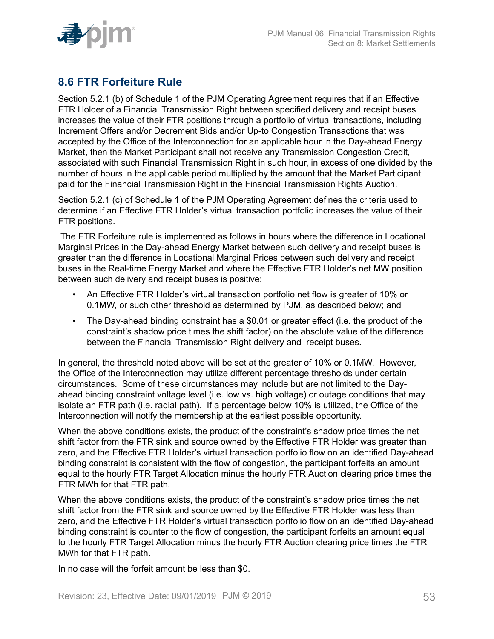

# <span id="page-52-0"></span>**8.6 FTR Forfeiture Rule**

Section 5.2.1 (b) of Schedule 1 of the PJM Operating Agreement requires that if an Effective FTR Holder of a Financial Transmission Right between specified delivery and receipt buses increases the value of their FTR positions through a portfolio of virtual transactions, including Increment Offers and/or Decrement Bids and/or Up-to Congestion Transactions that was accepted by the Office of the Interconnection for an applicable hour in the Day-ahead Energy Market, then the Market Participant shall not receive any Transmission Congestion Credit, associated with such Financial Transmission Right in such hour, in excess of one divided by the number of hours in the applicable period multiplied by the amount that the Market Participant paid for the Financial Transmission Right in the Financial Transmission Rights Auction.

Section 5.2.1 (c) of Schedule 1 of the PJM Operating Agreement defines the criteria used to determine if an Effective FTR Holder's virtual transaction portfolio increases the value of their FTR positions.

The FTR Forfeiture rule is implemented as follows in hours where the difference in Locational Marginal Prices in the Day-ahead Energy Market between such delivery and receipt buses is greater than the difference in Locational Marginal Prices between such delivery and receipt buses in the Real-time Energy Market and where the Effective FTR Holder's net MW position between such delivery and receipt buses is positive:

- An Effective FTR Holder's virtual transaction portfolio net flow is greater of 10% or 0.1MW, or such other threshold as determined by PJM, as described below; and
- The Day-ahead binding constraint has a \$0.01 or greater effect (i.e. the product of the constraint's shadow price times the shift factor) on the absolute value of the difference between the Financial Transmission Right delivery and receipt buses.

In general, the threshold noted above will be set at the greater of 10% or 0.1MW. However, the Office of the Interconnection may utilize different percentage thresholds under certain circumstances. Some of these circumstances may include but are not limited to the Dayahead binding constraint voltage level (i.e. low vs. high voltage) or outage conditions that may isolate an FTR path (i.e. radial path). If a percentage below 10% is utilized, the Office of the Interconnection will notify the membership at the earliest possible opportunity.

When the above conditions exists, the product of the constraint's shadow price times the net shift factor from the FTR sink and source owned by the Effective FTR Holder was greater than zero, and the Effective FTR Holder's virtual transaction portfolio flow on an identified Day-ahead binding constraint is consistent with the flow of congestion, the participant forfeits an amount equal to the hourly FTR Target Allocation minus the hourly FTR Auction clearing price times the FTR MWh for that FTR path.

When the above conditions exists, the product of the constraint's shadow price times the net shift factor from the FTR sink and source owned by the Effective FTR Holder was less than zero, and the Effective FTR Holder's virtual transaction portfolio flow on an identified Day-ahead binding constraint is counter to the flow of congestion, the participant forfeits an amount equal to the hourly FTR Target Allocation minus the hourly FTR Auction clearing price times the FTR MWh for that FTR path.

In no case will the forfeit amount be less than \$0.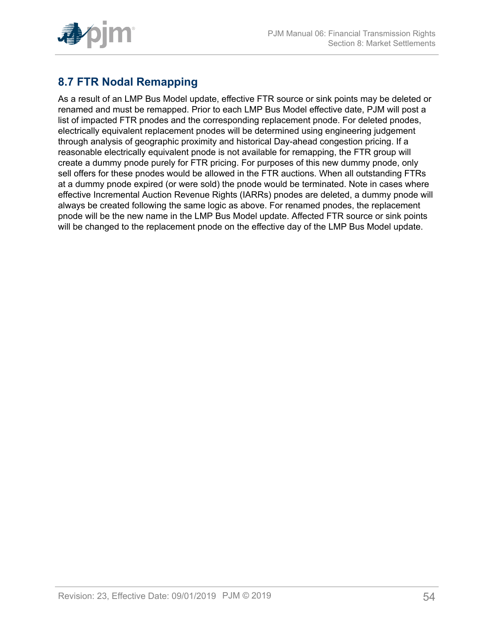

# <span id="page-53-0"></span>**8.7 FTR Nodal Remapping**

As a result of an LMP Bus Model update, effective FTR source or sink points may be deleted or renamed and must be remapped. Prior to each LMP Bus Model effective date, PJM will post a list of impacted FTR pnodes and the corresponding replacement pnode. For deleted pnodes, electrically equivalent replacement pnodes will be determined using engineering judgement through analysis of geographic proximity and historical Day-ahead congestion pricing. If a reasonable electrically equivalent pnode is not available for remapping, the FTR group will create a dummy pnode purely for FTR pricing. For purposes of this new dummy pnode, only sell offers for these pnodes would be allowed in the FTR auctions. When all outstanding FTRs at a dummy pnode expired (or were sold) the pnode would be terminated. Note in cases where effective Incremental Auction Revenue Rights (IARRs) pnodes are deleted, a dummy pnode will always be created following the same logic as above. For renamed pnodes, the replacement pnode will be the new name in the LMP Bus Model update. Affected FTR source or sink points will be changed to the replacement pnode on the effective day of the LMP Bus Model update.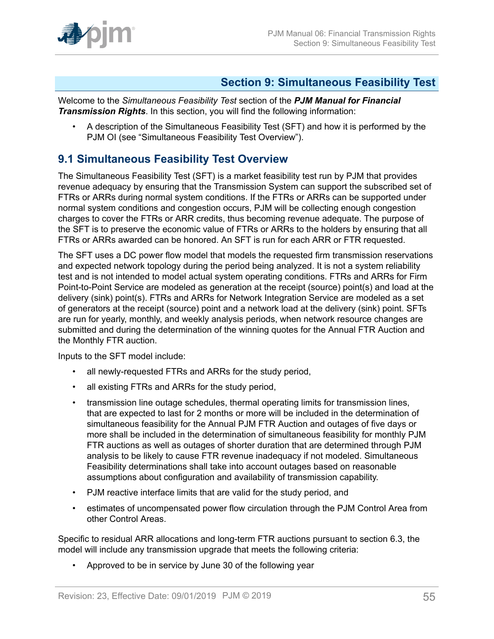

### <span id="page-54-0"></span>**Section 9: Simultaneous Feasibility Test**

Welcome to the *Simultaneous Feasibility Test* section of the *PJM Manual for Financial Transmission Rights*. In this section, you will find the following information:

• A description of the Simultaneous Feasibility Test (SFT) and how it is performed by the PJM OI (see "Simultaneous Feasibility Test Overview").

## <span id="page-54-1"></span>**9.1 Simultaneous Feasibility Test Overview**

The Simultaneous Feasibility Test (SFT) is a market feasibility test run by PJM that provides revenue adequacy by ensuring that the Transmission System can support the subscribed set of FTRs or ARRs during normal system conditions. If the FTRs or ARRs can be supported under normal system conditions and congestion occurs, PJM will be collecting enough congestion charges to cover the FTRs or ARR credits, thus becoming revenue adequate. The purpose of the SFT is to preserve the economic value of FTRs or ARRs to the holders by ensuring that all FTRs or ARRs awarded can be honored. An SFT is run for each ARR or FTR requested.

The SFT uses a DC power flow model that models the requested firm transmission reservations and expected network topology during the period being analyzed. It is not a system reliability test and is not intended to model actual system operating conditions. FTRs and ARRs for Firm Point-to-Point Service are modeled as generation at the receipt (source) point(s) and load at the delivery (sink) point(s). FTRs and ARRs for Network Integration Service are modeled as a set of generators at the receipt (source) point and a network load at the delivery (sink) point. SFTs are run for yearly, monthly, and weekly analysis periods, when network resource changes are submitted and during the determination of the winning quotes for the Annual FTR Auction and the Monthly FTR auction.

Inputs to the SFT model include:

- all newly-requested FTRs and ARRs for the study period,
- all existing FTRs and ARRs for the study period,
- transmission line outage schedules, thermal operating limits for transmission lines, that are expected to last for 2 months or more will be included in the determination of simultaneous feasibility for the Annual PJM FTR Auction and outages of five days or more shall be included in the determination of simultaneous feasibility for monthly PJM FTR auctions as well as outages of shorter duration that are determined through PJM analysis to be likely to cause FTR revenue inadequacy if not modeled. Simultaneous Feasibility determinations shall take into account outages based on reasonable assumptions about configuration and availability of transmission capability.
- PJM reactive interface limits that are valid for the study period, and
- estimates of uncompensated power flow circulation through the PJM Control Area from other Control Areas.

Specific to residual ARR allocations and long-term FTR auctions pursuant to section 6.3, the model will include any transmission upgrade that meets the following criteria:

• Approved to be in service by June 30 of the following year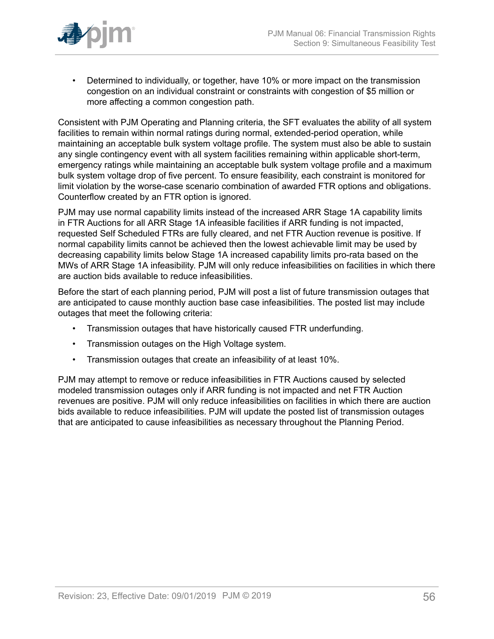

• Determined to individually, or together, have 10% or more impact on the transmission congestion on an individual constraint or constraints with congestion of \$5 million or more affecting a common congestion path.

Consistent with PJM Operating and Planning criteria, the SFT evaluates the ability of all system facilities to remain within normal ratings during normal, extended-period operation, while maintaining an acceptable bulk system voltage profile. The system must also be able to sustain any single contingency event with all system facilities remaining within applicable short-term, emergency ratings while maintaining an acceptable bulk system voltage profile and a maximum bulk system voltage drop of five percent. To ensure feasibility, each constraint is monitored for limit violation by the worse-case scenario combination of awarded FTR options and obligations. Counterflow created by an FTR option is ignored.

PJM may use normal capability limits instead of the increased ARR Stage 1A capability limits in FTR Auctions for all ARR Stage 1A infeasible facilities if ARR funding is not impacted, requested Self Scheduled FTRs are fully cleared, and net FTR Auction revenue is positive. If normal capability limits cannot be achieved then the lowest achievable limit may be used by decreasing capability limits below Stage 1A increased capability limits pro-rata based on the MWs of ARR Stage 1A infeasibility. PJM will only reduce infeasibilities on facilities in which there are auction bids available to reduce infeasibilities.

Before the start of each planning period, PJM will post a list of future transmission outages that are anticipated to cause monthly auction base case infeasibilities. The posted list may include outages that meet the following criteria:

- Transmission outages that have historically caused FTR underfunding.
- Transmission outages on the High Voltage system.
- Transmission outages that create an infeasibility of at least 10%.

PJM may attempt to remove or reduce infeasibilities in FTR Auctions caused by selected modeled transmission outages only if ARR funding is not impacted and net FTR Auction revenues are positive. PJM will only reduce infeasibilities on facilities in which there are auction bids available to reduce infeasibilities. PJM will update the posted list of transmission outages that are anticipated to cause infeasibilities as necessary throughout the Planning Period.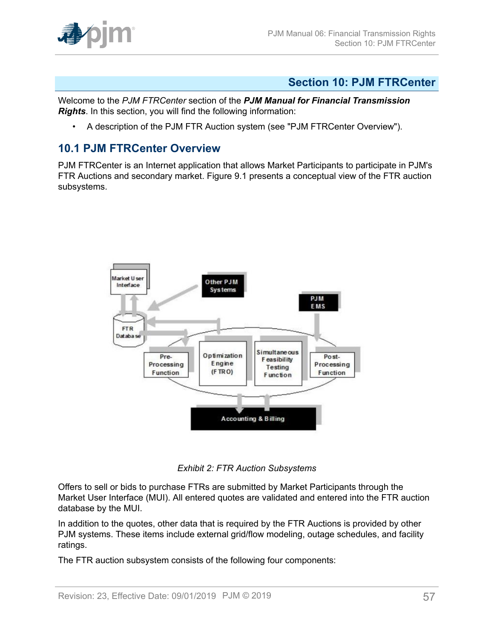

### <span id="page-56-0"></span>**Section 10: PJM FTRCenter**

Welcome to the *PJM FTRCenter* section of the *PJM Manual for Financial Transmission Rights*. In this section, you will find the following information:

• A description of the PJM FTR Auction system (see "PJM FTRCenter Overview").

### <span id="page-56-1"></span>**10.1 PJM FTRCenter Overview**

<span id="page-56-2"></span>PJM FTRCenter is an Internet application that allows Market Participants to participate in PJM's FTR Auctions and secondary market. Figure 9.1 presents a conceptual view of the FTR auction subsystems.



*Exhibit 2: FTR Auction Subsystems*

Offers to sell or bids to purchase FTRs are submitted by Market Participants through the Market User Interface (MUI). All entered quotes are validated and entered into the FTR auction database by the MUI.

In addition to the quotes, other data that is required by the FTR Auctions is provided by other PJM systems. These items include external grid/flow modeling, outage schedules, and facility ratings.

The FTR auction subsystem consists of the following four components: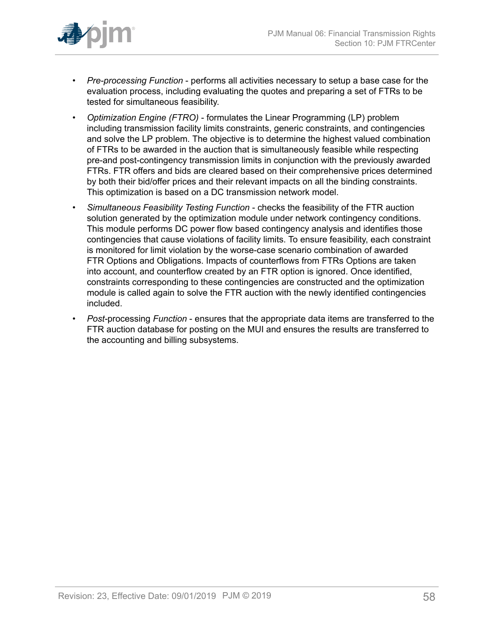

- *Pre-processing Function* performs all activities necessary to setup a base case for the evaluation process, including evaluating the quotes and preparing a set of FTRs to be tested for simultaneous feasibility.
- *Optimization Engine (FTRO)* formulates the Linear Programming (LP) problem including transmission facility limits constraints, generic constraints, and contingencies and solve the LP problem. The objective is to determine the highest valued combination of FTRs to be awarded in the auction that is simultaneously feasible while respecting pre-and post-contingency transmission limits in conjunction with the previously awarded FTRs. FTR offers and bids are cleared based on their comprehensive prices determined by both their bid/offer prices and their relevant impacts on all the binding constraints. This optimization is based on a DC transmission network model.
- *Simultaneous Feasibility Testing Function* checks the feasibility of the FTR auction solution generated by the optimization module under network contingency conditions. This module performs DC power flow based contingency analysis and identifies those contingencies that cause violations of facility limits. To ensure feasibility, each constraint is monitored for limit violation by the worse-case scenario combination of awarded FTR Options and Obligations. Impacts of counterflows from FTRs Options are taken into account, and counterflow created by an FTR option is ignored. Once identified, constraints corresponding to these contingencies are constructed and the optimization module is called again to solve the FTR auction with the newly identified contingencies included.
- *Post-*processing *Function* ensures that the appropriate data items are transferred to the FTR auction database for posting on the MUI and ensures the results are transferred to the accounting and billing subsystems.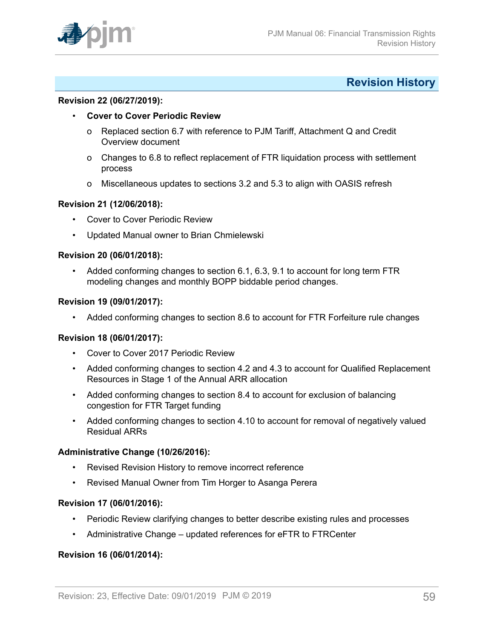

### <span id="page-58-0"></span>**Revision History**

#### **Revision 22 (06/27/2019):**

- **Cover to Cover Periodic Review**
	- o Replaced section 6.7 with reference to PJM Tariff, Attachment Q and Credit Overview document
	- o Changes to 6.8 to reflect replacement of FTR liquidation process with settlement process
	- o Miscellaneous updates to sections 3.2 and 5.3 to align with OASIS refresh

#### **Revision 21 (12/06/2018):**

- Cover to Cover Periodic Review
- Updated Manual owner to Brian Chmielewski

#### **Revision 20 (06/01/2018):**

• Added conforming changes to section 6.1, 6.3, 9.1 to account for long term FTR modeling changes and monthly BOPP biddable period changes.

#### **Revision 19 (09/01/2017):**

• Added conforming changes to section 8.6 to account for FTR Forfeiture rule changes

#### **Revision 18 (06/01/2017):**

- Cover to Cover 2017 Periodic Review
- Added conforming changes to section 4.2 and 4.3 to account for Qualified Replacement Resources in Stage 1 of the Annual ARR allocation
- Added conforming changes to section 8.4 to account for exclusion of balancing congestion for FTR Target funding
- Added conforming changes to section 4.10 to account for removal of negatively valued Residual ARRs

#### **Administrative Change (10/26/2016):**

- Revised Revision History to remove incorrect reference
- Revised Manual Owner from Tim Horger to Asanga Perera

#### **Revision 17 (06/01/2016):**

- Periodic Review clarifying changes to better describe existing rules and processes
- Administrative Change updated references for eFTR to FTRCenter

#### **Revision 16 (06/01/2014):**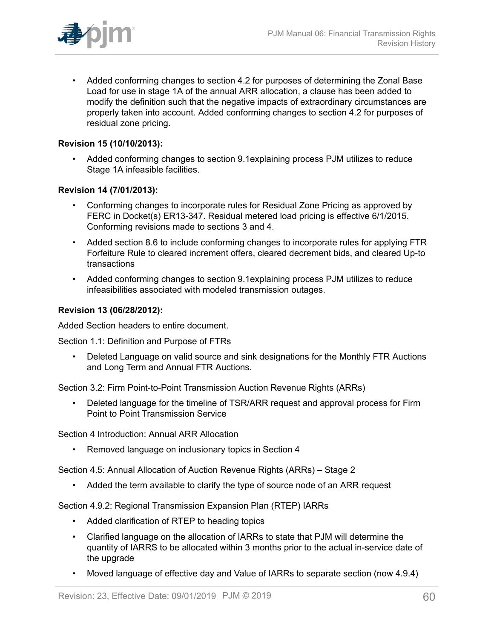

• Added conforming changes to section 4.2 for purposes of determining the Zonal Base Load for use in stage 1A of the annual ARR allocation, a clause has been added to modify the definition such that the negative impacts of extraordinary circumstances are properly taken into account. Added conforming changes to section 4.2 for purposes of residual zone pricing.

#### **Revision 15 (10/10/2013):**

• Added conforming changes to section 9.1explaining process PJM utilizes to reduce Stage 1A infeasible facilities.

#### **Revision 14 (7/01/2013):**

- Conforming changes to incorporate rules for Residual Zone Pricing as approved by FERC in Docket(s) ER13-347. Residual metered load pricing is effective 6/1/2015. Conforming revisions made to sections 3 and 4.
- Added section 8.6 to include conforming changes to incorporate rules for applying FTR Forfeiture Rule to cleared increment offers, cleared decrement bids, and cleared Up-to transactions
- Added conforming changes to section 9.1explaining process PJM utilizes to reduce infeasibilities associated with modeled transmission outages.

#### **Revision 13 (06/28/2012):**

Added Section headers to entire document.

Section 1.1: Definition and Purpose of FTRs

• Deleted Language on valid source and sink designations for the Monthly FTR Auctions and Long Term and Annual FTR Auctions.

Section 3.2: Firm Point-to-Point Transmission Auction Revenue Rights (ARRs)

• Deleted language for the timeline of TSR/ARR request and approval process for Firm Point to Point Transmission Service

Section 4 Introduction: Annual ARR Allocation

• Removed language on inclusionary topics in Section 4

Section 4.5: Annual Allocation of Auction Revenue Rights (ARRs) – Stage 2

• Added the term available to clarify the type of source node of an ARR request

Section 4.9.2: Regional Transmission Expansion Plan (RTEP) IARRs

- Added clarification of RTEP to heading topics
- Clarified language on the allocation of IARRs to state that PJM will determine the quantity of IARRS to be allocated within 3 months prior to the actual in-service date of the upgrade
- Moved language of effective day and Value of IARRs to separate section (now 4.9.4)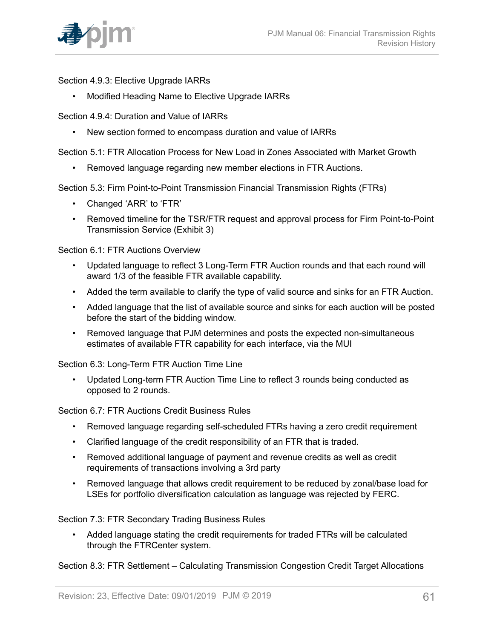

Section 4.9.3: Elective Upgrade IARRs

• Modified Heading Name to Elective Upgrade IARRs

Section 4.9.4: Duration and Value of IARRs

• New section formed to encompass duration and value of IARRs

Section 5.1: FTR Allocation Process for New Load in Zones Associated with Market Growth

• Removed language regarding new member elections in FTR Auctions.

Section 5.3: Firm Point-to-Point Transmission Financial Transmission Rights (FTRs)

- Changed 'ARR' to 'FTR'
- Removed timeline for the TSR/FTR request and approval process for Firm Point-to-Point Transmission Service (Exhibit 3)

Section 6.1: FTR Auctions Overview

- Updated language to reflect 3 Long-Term FTR Auction rounds and that each round will award 1/3 of the feasible FTR available capability.
- Added the term available to clarify the type of valid source and sinks for an FTR Auction.
- Added language that the list of available source and sinks for each auction will be posted before the start of the bidding window.
- Removed language that PJM determines and posts the expected non-simultaneous estimates of available FTR capability for each interface, via the MUI

Section 6.3: Long-Term FTR Auction Time Line

• Updated Long-term FTR Auction Time Line to reflect 3 rounds being conducted as opposed to 2 rounds.

Section 6.7: FTR Auctions Credit Business Rules

- Removed language regarding self-scheduled FTRs having a zero credit requirement
- Clarified language of the credit responsibility of an FTR that is traded.
- Removed additional language of payment and revenue credits as well as credit requirements of transactions involving a 3rd party
- Removed language that allows credit requirement to be reduced by zonal/base load for LSEs for portfolio diversification calculation as language was rejected by FERC.

Section 7.3: FTR Secondary Trading Business Rules

• Added language stating the credit requirements for traded FTRs will be calculated through the FTRCenter system.

Section 8.3: FTR Settlement – Calculating Transmission Congestion Credit Target Allocations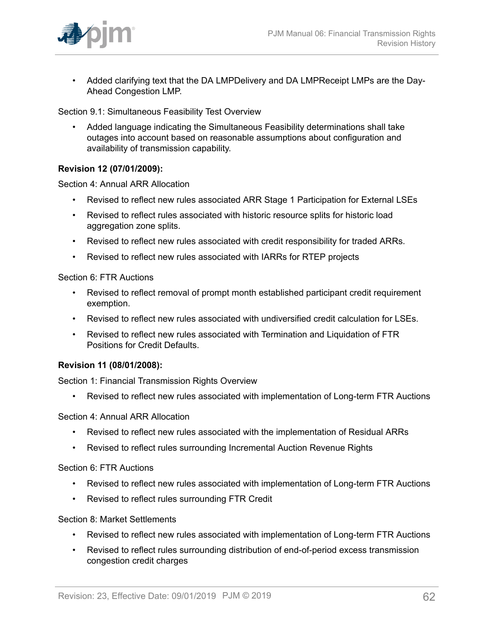

• Added clarifying text that the DA LMPDelivery and DA LMPReceipt LMPs are the Day-Ahead Congestion LMP.

Section 9.1: Simultaneous Feasibility Test Overview

• Added language indicating the Simultaneous Feasibility determinations shall take outages into account based on reasonable assumptions about configuration and availability of transmission capability.

#### **Revision 12 (07/01/2009):**

Section 4: Annual ARR Allocation

- Revised to reflect new rules associated ARR Stage 1 Participation for External LSEs
- Revised to reflect rules associated with historic resource splits for historic load aggregation zone splits.
- Revised to reflect new rules associated with credit responsibility for traded ARRs.
- Revised to reflect new rules associated with IARRs for RTEP projects

Section 6: FTR Auctions

- Revised to reflect removal of prompt month established participant credit requirement exemption.
- Revised to reflect new rules associated with undiversified credit calculation for LSEs.
- Revised to reflect new rules associated with Termination and Liquidation of FTR Positions for Credit Defaults.

#### **Revision 11 (08/01/2008):**

Section 1: Financial Transmission Rights Overview

• Revised to reflect new rules associated with implementation of Long-term FTR Auctions

Section 4: Annual ARR Allocation

- Revised to reflect new rules associated with the implementation of Residual ARRs
- Revised to reflect rules surrounding Incremental Auction Revenue Rights

Section 6: FTR Auctions

- Revised to reflect new rules associated with implementation of Long-term FTR Auctions
- Revised to reflect rules surrounding FTR Credit

Section 8: Market Settlements

- Revised to reflect new rules associated with implementation of Long-term FTR Auctions
- Revised to reflect rules surrounding distribution of end-of-period excess transmission congestion credit charges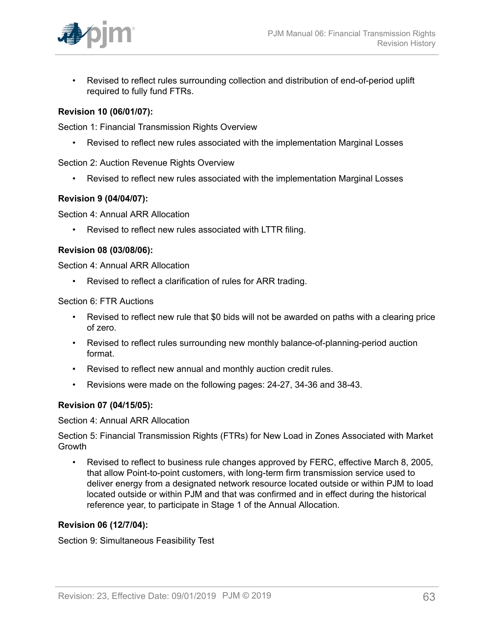

• Revised to reflect rules surrounding collection and distribution of end-of-period uplift required to fully fund FTRs.

#### **Revision 10 (06/01/07):**

Section 1: Financial Transmission Rights Overview

• Revised to reflect new rules associated with the implementation Marginal Losses

Section 2: Auction Revenue Rights Overview

• Revised to reflect new rules associated with the implementation Marginal Losses

#### **Revision 9 (04/04/07):**

Section 4: Annual ARR Allocation

• Revised to reflect new rules associated with LTTR filing.

#### **Revision 08 (03/08/06):**

Section 4: Annual ARR Allocation

• Revised to reflect a clarification of rules for ARR trading.

Section 6: FTR Auctions

- Revised to reflect new rule that \$0 bids will not be awarded on paths with a clearing price of zero.
- Revised to reflect rules surrounding new monthly balance-of-planning-period auction format.
- Revised to reflect new annual and monthly auction credit rules.
- Revisions were made on the following pages: 24-27, 34-36 and 38-43.

#### **Revision 07 (04/15/05):**

Section 4: Annual ARR Allocation

Section 5: Financial Transmission Rights (FTRs) for New Load in Zones Associated with Market Growth

• Revised to reflect to business rule changes approved by FERC, effective March 8, 2005, that allow Point-to-point customers, with long-term firm transmission service used to deliver energy from a designated network resource located outside or within PJM to load located outside or within PJM and that was confirmed and in effect during the historical reference year, to participate in Stage 1 of the Annual Allocation.

#### **Revision 06 (12/7/04):**

Section 9: Simultaneous Feasibility Test